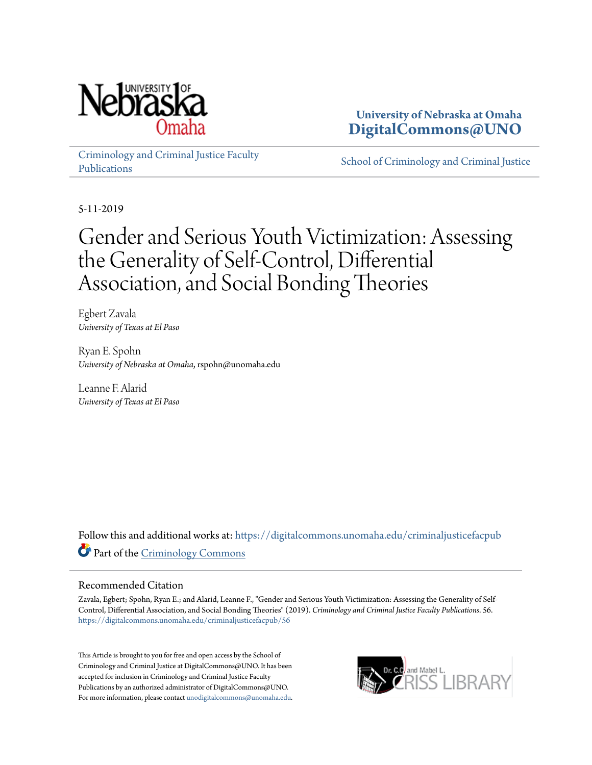

**University of Nebraska at Omaha [DigitalCommons@UNO](https://digitalcommons.unomaha.edu?utm_source=digitalcommons.unomaha.edu%2Fcriminaljusticefacpub%2F56&utm_medium=PDF&utm_campaign=PDFCoverPages)**

[Criminology and Criminal Justice Faculty](https://digitalcommons.unomaha.edu/criminaljusticefacpub?utm_source=digitalcommons.unomaha.edu%2Fcriminaljusticefacpub%2F56&utm_medium=PDF&utm_campaign=PDFCoverPages) [Publications](https://digitalcommons.unomaha.edu/criminaljusticefacpub?utm_source=digitalcommons.unomaha.edu%2Fcriminaljusticefacpub%2F56&utm_medium=PDF&utm_campaign=PDFCoverPages)

[School of Criminology and Criminal Justice](https://digitalcommons.unomaha.edu/criminaljustice?utm_source=digitalcommons.unomaha.edu%2Fcriminaljusticefacpub%2F56&utm_medium=PDF&utm_campaign=PDFCoverPages)

5-11-2019

# Gender and Serious Youth Victimization: Assessing the Generality of Self-Control, Differential Association, and Social Bonding Theories

Egbert Zavala *University of Texas at El Paso*

Ryan E. Spohn *University of Nebraska at Omaha*, rspohn@unomaha.edu

Leanne F. Alarid *University of Texas at El Paso*

Follow this and additional works at: [https://digitalcommons.unomaha.edu/criminaljusticefacpub](https://digitalcommons.unomaha.edu/criminaljusticefacpub?utm_source=digitalcommons.unomaha.edu%2Fcriminaljusticefacpub%2F56&utm_medium=PDF&utm_campaign=PDFCoverPages) Part of the [Criminology Commons](http://network.bepress.com/hgg/discipline/417?utm_source=digitalcommons.unomaha.edu%2Fcriminaljusticefacpub%2F56&utm_medium=PDF&utm_campaign=PDFCoverPages)

## Recommended Citation

Zavala, Egbert; Spohn, Ryan E.; and Alarid, Leanne F., "Gender and Serious Youth Victimization: Assessing the Generality of Self-Control, Differential Association, and Social Bonding Theories" (2019). *Criminology and Criminal Justice Faculty Publications*. 56. [https://digitalcommons.unomaha.edu/criminaljusticefacpub/56](https://digitalcommons.unomaha.edu/criminaljusticefacpub/56?utm_source=digitalcommons.unomaha.edu%2Fcriminaljusticefacpub%2F56&utm_medium=PDF&utm_campaign=PDFCoverPages)

This Article is brought to you for free and open access by the School of Criminology and Criminal Justice at DigitalCommons@UNO. It has been accepted for inclusion in Criminology and Criminal Justice Faculty Publications by an authorized administrator of DigitalCommons@UNO. For more information, please contact [unodigitalcommons@unomaha.edu](mailto:unodigitalcommons@unomaha.edu).

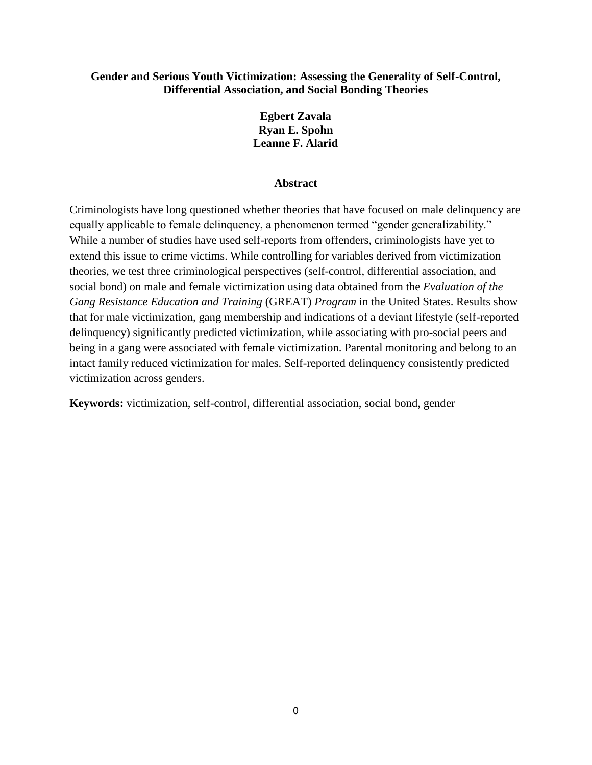# **Gender and Serious Youth Victimization: Assessing the Generality of Self-Control, Differential Association, and Social Bonding Theories**

# **Egbert Zavala Ryan E. Spohn Leanne F. Alarid**

# **Abstract**

Criminologists have long questioned whether theories that have focused on male delinquency are equally applicable to female delinquency, a phenomenon termed "gender generalizability." While a number of studies have used self-reports from offenders, criminologists have yet to extend this issue to crime victims. While controlling for variables derived from victimization theories, we test three criminological perspectives (self-control, differential association, and social bond) on male and female victimization using data obtained from the *Evaluation of the Gang Resistance Education and Training* (GREAT) *Program* in the United States. Results show that for male victimization, gang membership and indications of a deviant lifestyle (self-reported delinquency) significantly predicted victimization, while associating with pro-social peers and being in a gang were associated with female victimization. Parental monitoring and belong to an intact family reduced victimization for males. Self-reported delinquency consistently predicted victimization across genders.

**Keywords:** victimization, self-control, differential association, social bond, gender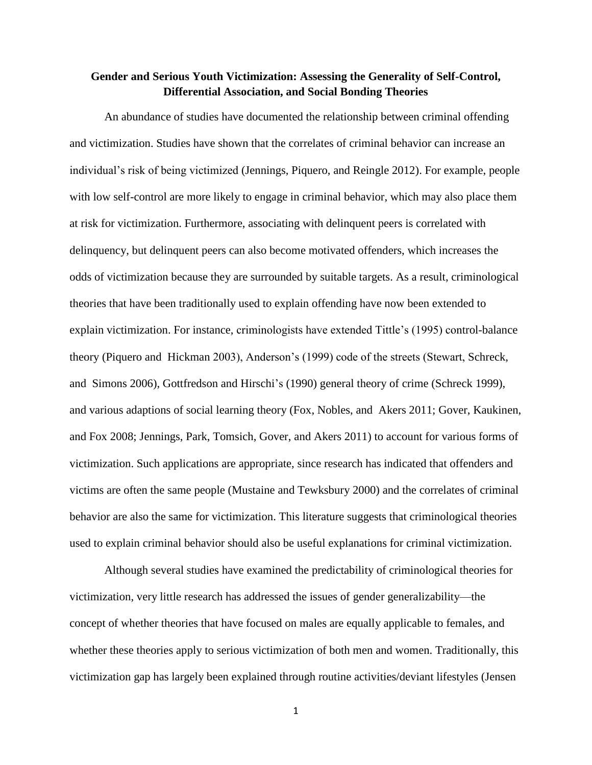# **Gender and Serious Youth Victimization: Assessing the Generality of Self-Control, Differential Association, and Social Bonding Theories**

An abundance of studies have documented the relationship between criminal offending and victimization. Studies have shown that the correlates of criminal behavior can increase an individual's risk of being victimized (Jennings, Piquero, and Reingle 2012). For example, people with low self-control are more likely to engage in criminal behavior, which may also place them at risk for victimization. Furthermore, associating with delinquent peers is correlated with delinquency, but delinquent peers can also become motivated offenders, which increases the odds of victimization because they are surrounded by suitable targets. As a result, criminological theories that have been traditionally used to explain offending have now been extended to explain victimization. For instance, criminologists have extended Tittle's (1995) control-balance theory (Piquero and Hickman 2003), Anderson's (1999) code of the streets (Stewart, Schreck, and Simons 2006), Gottfredson and Hirschi's (1990) general theory of crime (Schreck 1999), and various adaptions of social learning theory (Fox, Nobles, and Akers 2011; Gover, Kaukinen, and Fox 2008; Jennings, Park, Tomsich, Gover, and Akers 2011) to account for various forms of victimization. Such applications are appropriate, since research has indicated that offenders and victims are often the same people (Mustaine and Tewksbury 2000) and the correlates of criminal behavior are also the same for victimization. This literature suggests that criminological theories used to explain criminal behavior should also be useful explanations for criminal victimization.

Although several studies have examined the predictability of criminological theories for victimization, very little research has addressed the issues of gender generalizability—the concept of whether theories that have focused on males are equally applicable to females, and whether these theories apply to serious victimization of both men and women. Traditionally, this victimization gap has largely been explained through routine activities/deviant lifestyles (Jensen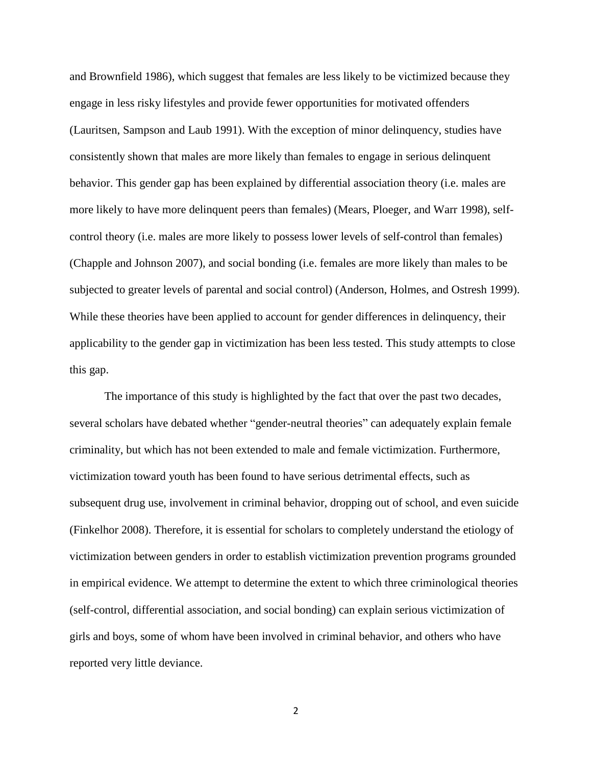and Brownfield 1986), which suggest that females are less likely to be victimized because they engage in less risky lifestyles and provide fewer opportunities for motivated offenders (Lauritsen, Sampson and Laub 1991). With the exception of minor delinquency, studies have consistently shown that males are more likely than females to engage in serious delinquent behavior. This gender gap has been explained by differential association theory (i.e. males are more likely to have more delinquent peers than females) (Mears, Ploeger, and Warr 1998), selfcontrol theory (i.e. males are more likely to possess lower levels of self-control than females) (Chapple and Johnson 2007), and social bonding (i.e. females are more likely than males to be subjected to greater levels of parental and social control) (Anderson, Holmes, and Ostresh 1999). While these theories have been applied to account for gender differences in delinquency, their applicability to the gender gap in victimization has been less tested. This study attempts to close this gap.

The importance of this study is highlighted by the fact that over the past two decades, several scholars have debated whether "gender-neutral theories" can adequately explain female criminality, but which has not been extended to male and female victimization. Furthermore, victimization toward youth has been found to have serious detrimental effects, such as subsequent drug use, involvement in criminal behavior, dropping out of school, and even suicide (Finkelhor 2008). Therefore, it is essential for scholars to completely understand the etiology of victimization between genders in order to establish victimization prevention programs grounded in empirical evidence. We attempt to determine the extent to which three criminological theories (self-control, differential association, and social bonding) can explain serious victimization of girls and boys, some of whom have been involved in criminal behavior, and others who have reported very little deviance.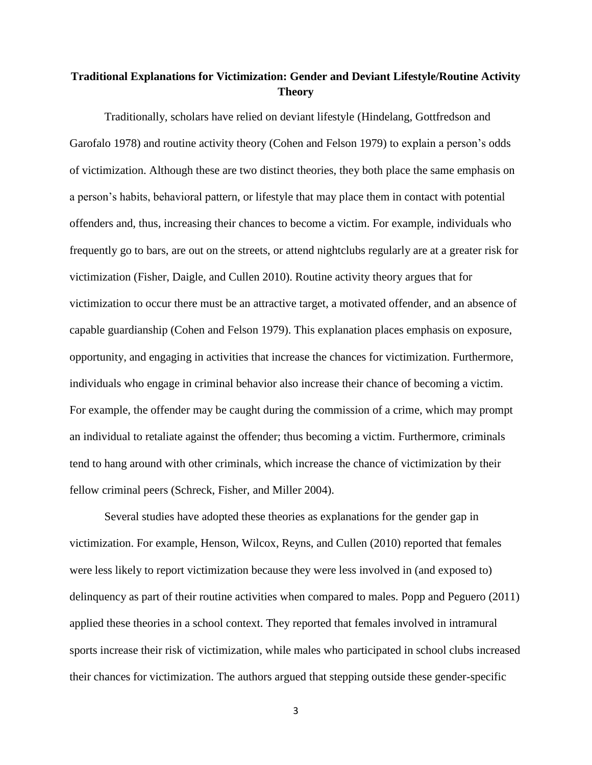# **Traditional Explanations for Victimization: Gender and Deviant Lifestyle/Routine Activity Theory**

Traditionally, scholars have relied on deviant lifestyle (Hindelang, Gottfredson and Garofalo 1978) and routine activity theory (Cohen and Felson 1979) to explain a person's odds of victimization. Although these are two distinct theories, they both place the same emphasis on a person's habits, behavioral pattern, or lifestyle that may place them in contact with potential offenders and, thus, increasing their chances to become a victim. For example, individuals who frequently go to bars, are out on the streets, or attend nightclubs regularly are at a greater risk for victimization (Fisher, Daigle, and Cullen 2010). Routine activity theory argues that for victimization to occur there must be an attractive target, a motivated offender, and an absence of capable guardianship (Cohen and Felson 1979). This explanation places emphasis on exposure, opportunity, and engaging in activities that increase the chances for victimization. Furthermore, individuals who engage in criminal behavior also increase their chance of becoming a victim. For example, the offender may be caught during the commission of a crime, which may prompt an individual to retaliate against the offender; thus becoming a victim. Furthermore, criminals tend to hang around with other criminals, which increase the chance of victimization by their fellow criminal peers (Schreck, Fisher, and Miller 2004).

Several studies have adopted these theories as explanations for the gender gap in victimization. For example, Henson, Wilcox, Reyns, and Cullen (2010) reported that females were less likely to report victimization because they were less involved in (and exposed to) delinquency as part of their routine activities when compared to males. Popp and Peguero (2011) applied these theories in a school context. They reported that females involved in intramural sports increase their risk of victimization, while males who participated in school clubs increased their chances for victimization. The authors argued that stepping outside these gender-specific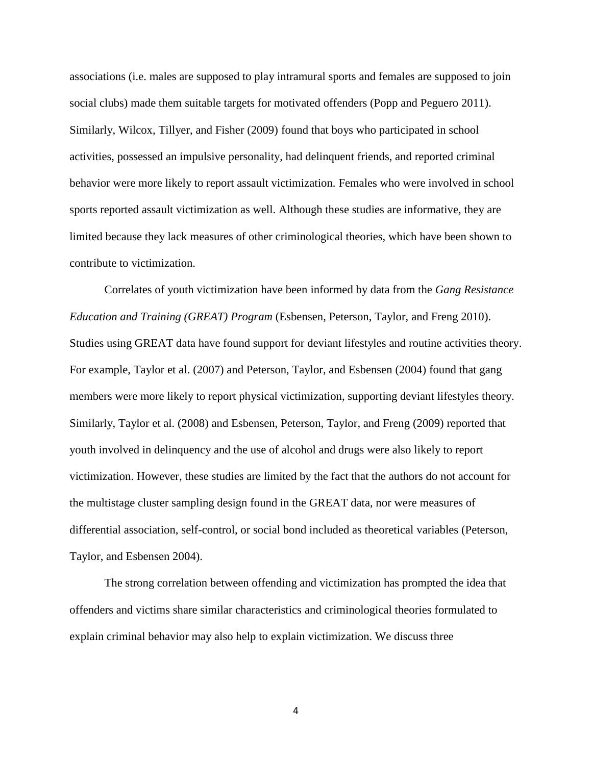associations (i.e. males are supposed to play intramural sports and females are supposed to join social clubs) made them suitable targets for motivated offenders (Popp and Peguero 2011). Similarly, Wilcox, Tillyer, and Fisher (2009) found that boys who participated in school activities, possessed an impulsive personality, had delinquent friends, and reported criminal behavior were more likely to report assault victimization. Females who were involved in school sports reported assault victimization as well. Although these studies are informative, they are limited because they lack measures of other criminological theories, which have been shown to contribute to victimization.

Correlates of youth victimization have been informed by data from the *Gang Resistance Education and Training (GREAT) Program* (Esbensen, Peterson, Taylor, and Freng 2010). Studies using GREAT data have found support for deviant lifestyles and routine activities theory. For example, Taylor et al. (2007) and Peterson, Taylor, and Esbensen (2004) found that gang members were more likely to report physical victimization, supporting deviant lifestyles theory. Similarly, Taylor et al. (2008) and Esbensen, Peterson, Taylor, and Freng (2009) reported that youth involved in delinquency and the use of alcohol and drugs were also likely to report victimization. However, these studies are limited by the fact that the authors do not account for the multistage cluster sampling design found in the GREAT data, nor were measures of differential association, self-control, or social bond included as theoretical variables (Peterson, Taylor, and Esbensen 2004).

The strong correlation between offending and victimization has prompted the idea that offenders and victims share similar characteristics and criminological theories formulated to explain criminal behavior may also help to explain victimization. We discuss three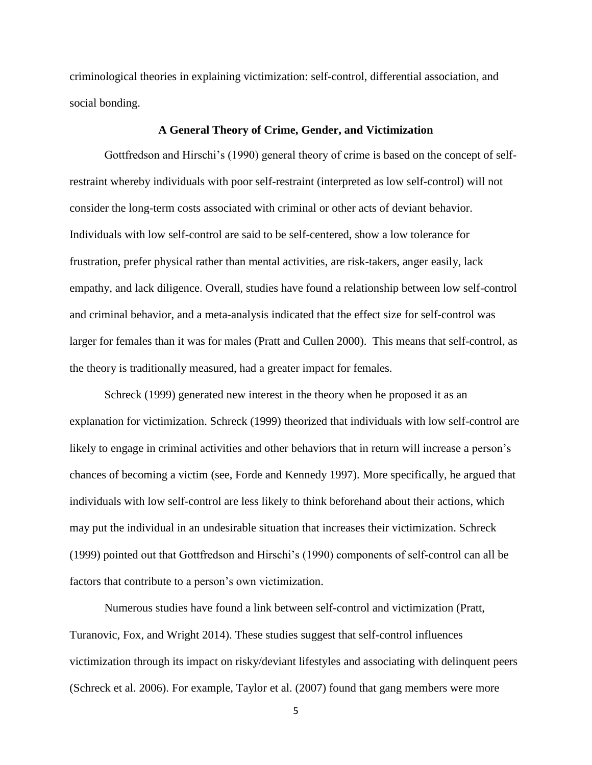criminological theories in explaining victimization: self-control, differential association, and social bonding.

## **A General Theory of Crime, Gender, and Victimization**

Gottfredson and Hirschi's (1990) general theory of crime is based on the concept of selfrestraint whereby individuals with poor self-restraint (interpreted as low self-control) will not consider the long-term costs associated with criminal or other acts of deviant behavior. Individuals with low self-control are said to be self-centered, show a low tolerance for frustration, prefer physical rather than mental activities, are risk-takers, anger easily, lack empathy, and lack diligence. Overall, studies have found a relationship between low self-control and criminal behavior, and a meta-analysis indicated that the effect size for self-control was larger for females than it was for males (Pratt and Cullen 2000). This means that self-control, as the theory is traditionally measured, had a greater impact for females.

Schreck (1999) generated new interest in the theory when he proposed it as an explanation for victimization. Schreck (1999) theorized that individuals with low self-control are likely to engage in criminal activities and other behaviors that in return will increase a person's chances of becoming a victim (see, Forde and Kennedy 1997). More specifically, he argued that individuals with low self-control are less likely to think beforehand about their actions, which may put the individual in an undesirable situation that increases their victimization. Schreck (1999) pointed out that Gottfredson and Hirschi's (1990) components of self-control can all be factors that contribute to a person's own victimization.

Numerous studies have found a link between self-control and victimization (Pratt, Turanovic, Fox, and Wright 2014). These studies suggest that self-control influences victimization through its impact on risky/deviant lifestyles and associating with delinquent peers (Schreck et al. 2006). For example, Taylor et al. (2007) found that gang members were more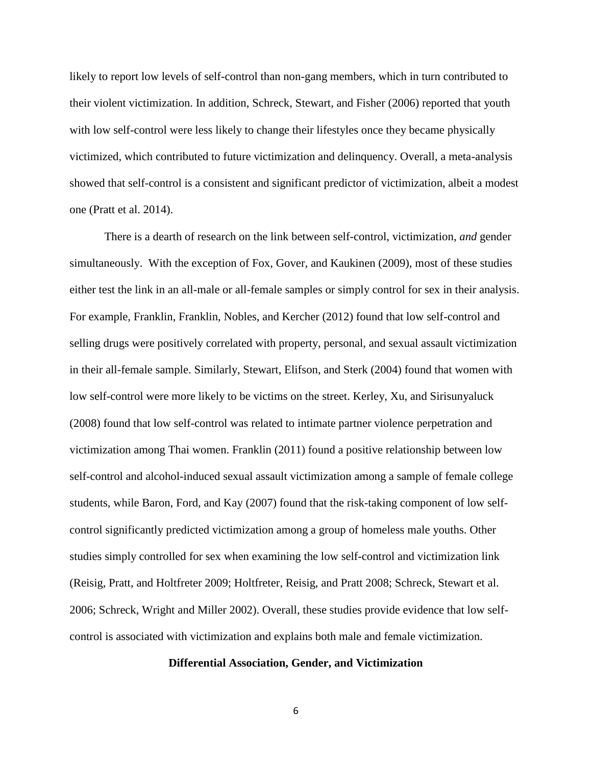likely to report low levels of self-control than non-gang members, which in turn contributed to their violent victimization. In addition, Schreck, Stewart, and Fisher (2006) reported that youth with low self-control were less likely to change their lifestyles once they became physically victimized, which contributed to future victimization and delinquency. Overall, a meta-analysis showed that self-control is a consistent and significant predictor of victimization, albeit a modest one (Pratt et al. 2014).

There is a dearth of research on the link between self-control, victimization, *and* gender simultaneously. With the exception of Fox, Gover, and Kaukinen (2009), most of these studies either test the link in an all-male or all-female samples or simply control for sex in their analysis. For example, Franklin, Franklin, Nobles, and Kercher (2012) found that low self-control and selling drugs were positively correlated with property, personal, and sexual assault victimization in their all-female sample. Similarly, Stewart, Elifson, and Sterk (2004) found that women with low self-control were more likely to be victims on the street. Kerley, Xu, and Sirisunyaluck (2008) found that low self-control was related to intimate partner violence perpetration and victimization among Thai women. Franklin (2011) found a positive relationship between low self-control and alcohol-induced sexual assault victimization among a sample of female college students, while Baron, Ford, and Kay (2007) found that the risk-taking component of low selfcontrol significantly predicted victimization among a group of homeless male youths. Other studies simply controlled for sex when examining the low self-control and victimization link (Reisig, Pratt, and Holtfreter 2009; Holtfreter, Reisig, and Pratt 2008; Schreck, Stewart et al. 2006; Schreck, Wright and Miller 2002). Overall, these studies provide evidence that low selfcontrol is associated with victimization and explains both male and female victimization.

## **Differential Association, Gender, and Victimization**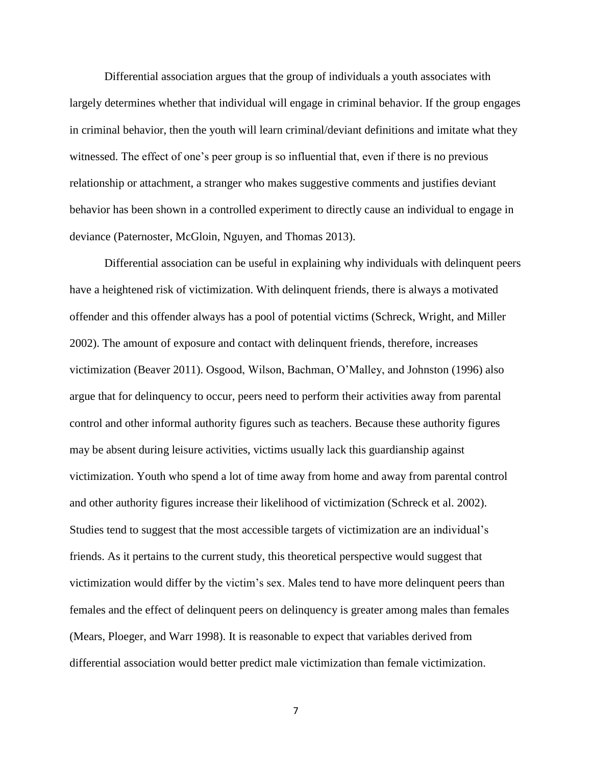Differential association argues that the group of individuals a youth associates with largely determines whether that individual will engage in criminal behavior. If the group engages in criminal behavior, then the youth will learn criminal/deviant definitions and imitate what they witnessed. The effect of one's peer group is so influential that, even if there is no previous relationship or attachment, a stranger who makes suggestive comments and justifies deviant behavior has been shown in a controlled experiment to directly cause an individual to engage in deviance (Paternoster, McGloin, Nguyen, and Thomas 2013).

Differential association can be useful in explaining why individuals with delinquent peers have a heightened risk of victimization. With delinquent friends, there is always a motivated offender and this offender always has a pool of potential victims (Schreck, Wright, and Miller 2002). The amount of exposure and contact with delinquent friends, therefore, increases victimization (Beaver 2011). Osgood, Wilson, Bachman, O'Malley, and Johnston (1996) also argue that for delinquency to occur, peers need to perform their activities away from parental control and other informal authority figures such as teachers. Because these authority figures may be absent during leisure activities, victims usually lack this guardianship against victimization. Youth who spend a lot of time away from home and away from parental control and other authority figures increase their likelihood of victimization (Schreck et al. 2002). Studies tend to suggest that the most accessible targets of victimization are an individual's friends. As it pertains to the current study, this theoretical perspective would suggest that victimization would differ by the victim's sex. Males tend to have more delinquent peers than females and the effect of delinquent peers on delinquency is greater among males than females (Mears, Ploeger, and Warr 1998). It is reasonable to expect that variables derived from differential association would better predict male victimization than female victimization.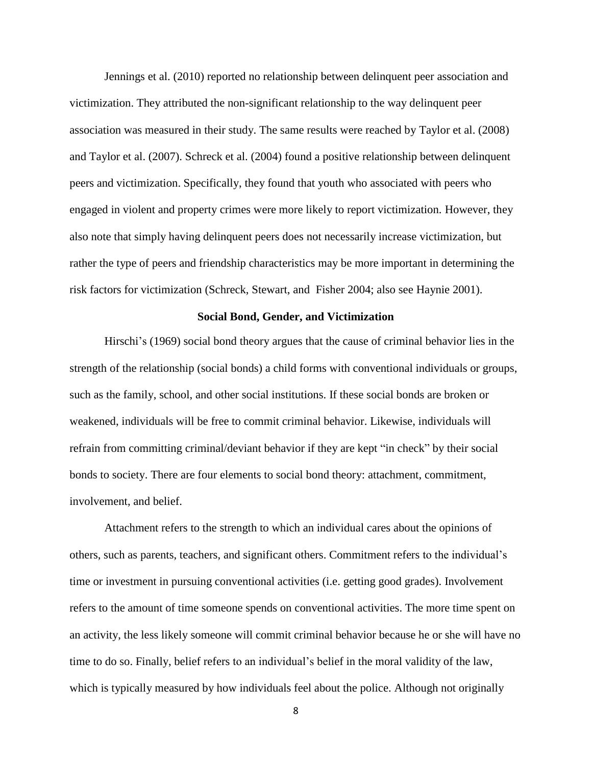Jennings et al. (2010) reported no relationship between delinquent peer association and victimization. They attributed the non-significant relationship to the way delinquent peer association was measured in their study. The same results were reached by Taylor et al. (2008) and Taylor et al. (2007). Schreck et al. (2004) found a positive relationship between delinquent peers and victimization. Specifically, they found that youth who associated with peers who engaged in violent and property crimes were more likely to report victimization. However, they also note that simply having delinquent peers does not necessarily increase victimization, but rather the type of peers and friendship characteristics may be more important in determining the risk factors for victimization (Schreck, Stewart, and Fisher 2004; also see Haynie 2001).

## **Social Bond, Gender, and Victimization**

Hirschi's (1969) social bond theory argues that the cause of criminal behavior lies in the strength of the relationship (social bonds) a child forms with conventional individuals or groups, such as the family, school, and other social institutions. If these social bonds are broken or weakened, individuals will be free to commit criminal behavior. Likewise, individuals will refrain from committing criminal/deviant behavior if they are kept "in check" by their social bonds to society. There are four elements to social bond theory: attachment, commitment, involvement, and belief.

Attachment refers to the strength to which an individual cares about the opinions of others, such as parents, teachers, and significant others. Commitment refers to the individual's time or investment in pursuing conventional activities (i.e. getting good grades). Involvement refers to the amount of time someone spends on conventional activities. The more time spent on an activity, the less likely someone will commit criminal behavior because he or she will have no time to do so. Finally, belief refers to an individual's belief in the moral validity of the law, which is typically measured by how individuals feel about the police. Although not originally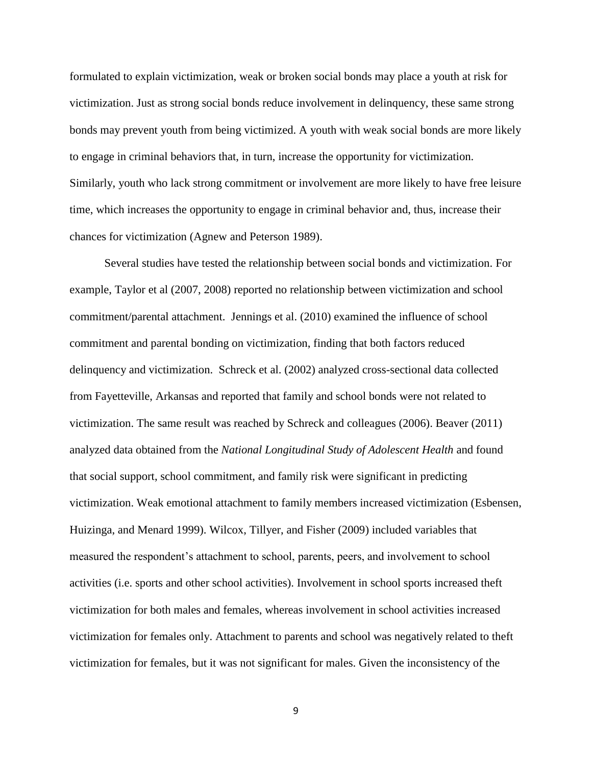formulated to explain victimization, weak or broken social bonds may place a youth at risk for victimization. Just as strong social bonds reduce involvement in delinquency, these same strong bonds may prevent youth from being victimized. A youth with weak social bonds are more likely to engage in criminal behaviors that, in turn, increase the opportunity for victimization. Similarly, youth who lack strong commitment or involvement are more likely to have free leisure time, which increases the opportunity to engage in criminal behavior and, thus, increase their chances for victimization (Agnew and Peterson 1989).

Several studies have tested the relationship between social bonds and victimization. For example, Taylor et al (2007, 2008) reported no relationship between victimization and school commitment/parental attachment. Jennings et al. (2010) examined the influence of school commitment and parental bonding on victimization, finding that both factors reduced delinquency and victimization. Schreck et al. (2002) analyzed cross-sectional data collected from Fayetteville, Arkansas and reported that family and school bonds were not related to victimization. The same result was reached by Schreck and colleagues (2006). Beaver (2011) analyzed data obtained from the *National Longitudinal Study of Adolescent Health* and found that social support, school commitment, and family risk were significant in predicting victimization. Weak emotional attachment to family members increased victimization (Esbensen, Huizinga, and Menard 1999). Wilcox, Tillyer, and Fisher (2009) included variables that measured the respondent's attachment to school, parents, peers, and involvement to school activities (i.e. sports and other school activities). Involvement in school sports increased theft victimization for both males and females, whereas involvement in school activities increased victimization for females only. Attachment to parents and school was negatively related to theft victimization for females, but it was not significant for males. Given the inconsistency of the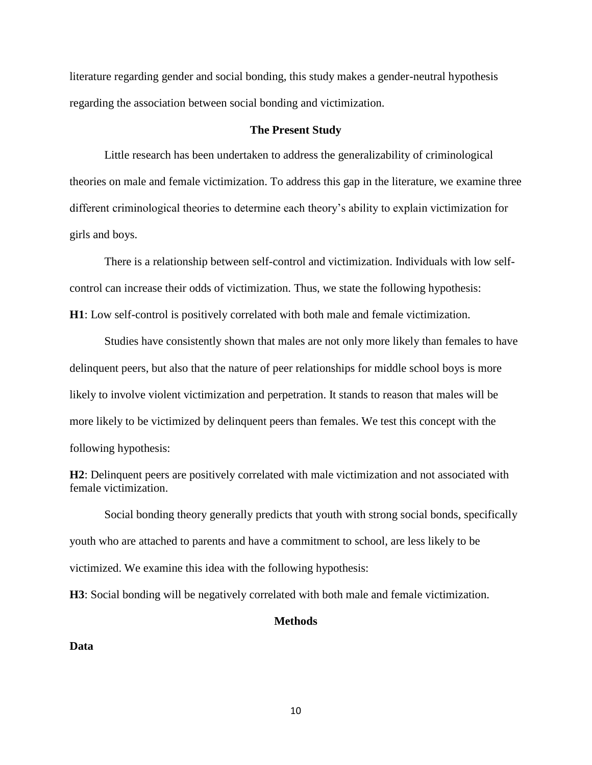literature regarding gender and social bonding, this study makes a gender-neutral hypothesis regarding the association between social bonding and victimization.

## **The Present Study**

Little research has been undertaken to address the generalizability of criminological theories on male and female victimization. To address this gap in the literature, we examine three different criminological theories to determine each theory's ability to explain victimization for girls and boys.

There is a relationship between self-control and victimization. Individuals with low selfcontrol can increase their odds of victimization. Thus, we state the following hypothesis: **H1**: Low self-control is positively correlated with both male and female victimization.

Studies have consistently shown that males are not only more likely than females to have delinquent peers, but also that the nature of peer relationships for middle school boys is more likely to involve violent victimization and perpetration. It stands to reason that males will be more likely to be victimized by delinquent peers than females. We test this concept with the following hypothesis:

**H2**: Delinquent peers are positively correlated with male victimization and not associated with female victimization.

Social bonding theory generally predicts that youth with strong social bonds, specifically youth who are attached to parents and have a commitment to school, are less likely to be victimized. We examine this idea with the following hypothesis:

**H3**: Social bonding will be negatively correlated with both male and female victimization.

# **Methods**

#### **Data**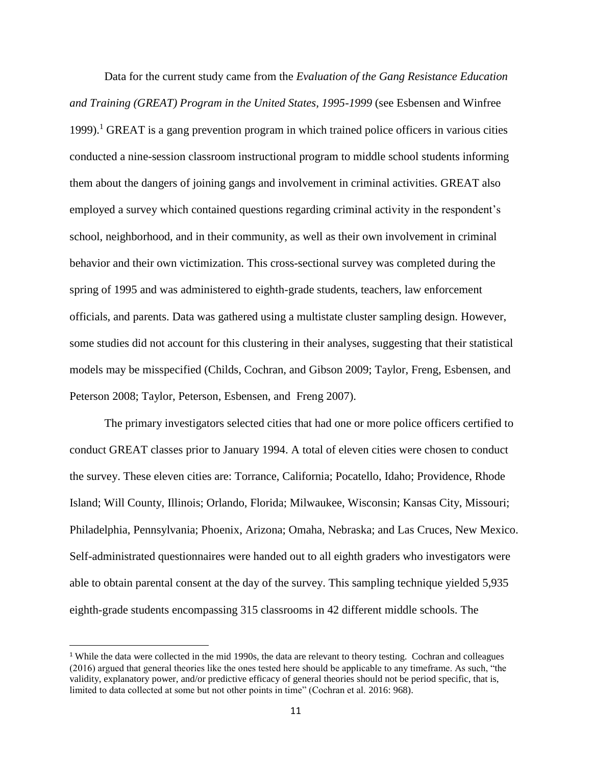Data for the current study came from the *Evaluation of the Gang Resistance Education and Training (GREAT) Program in the United States, 1995-1999* (see Esbensen and Winfree 1999).<sup>1</sup> GREAT is a gang prevention program in which trained police officers in various cities conducted a nine-session classroom instructional program to middle school students informing them about the dangers of joining gangs and involvement in criminal activities. GREAT also employed a survey which contained questions regarding criminal activity in the respondent's school, neighborhood, and in their community, as well as their own involvement in criminal behavior and their own victimization. This cross-sectional survey was completed during the spring of 1995 and was administered to eighth-grade students, teachers, law enforcement officials, and parents. Data was gathered using a multistate cluster sampling design. However, some studies did not account for this clustering in their analyses, suggesting that their statistical models may be misspecified (Childs, Cochran, and Gibson 2009; Taylor, Freng, Esbensen, and Peterson 2008; Taylor, Peterson, Esbensen, and Freng 2007).

The primary investigators selected cities that had one or more police officers certified to conduct GREAT classes prior to January 1994. A total of eleven cities were chosen to conduct the survey. These eleven cities are: Torrance, California; Pocatello, Idaho; Providence, Rhode Island; Will County, Illinois; Orlando, Florida; Milwaukee, Wisconsin; Kansas City, Missouri; Philadelphia, Pennsylvania; Phoenix, Arizona; Omaha, Nebraska; and Las Cruces, New Mexico. Self-administrated questionnaires were handed out to all eighth graders who investigators were able to obtain parental consent at the day of the survey. This sampling technique yielded 5,935 eighth-grade students encompassing 315 classrooms in 42 different middle schools. The

<sup>&</sup>lt;sup>1</sup> While the data were collected in the mid 1990s, the data are relevant to theory testing. Cochran and colleagues (2016) argued that general theories like the ones tested here should be applicable to any timeframe. As such, "the validity, explanatory power, and/or predictive efficacy of general theories should not be period specific, that is, limited to data collected at some but not other points in time" (Cochran et al. 2016: 968).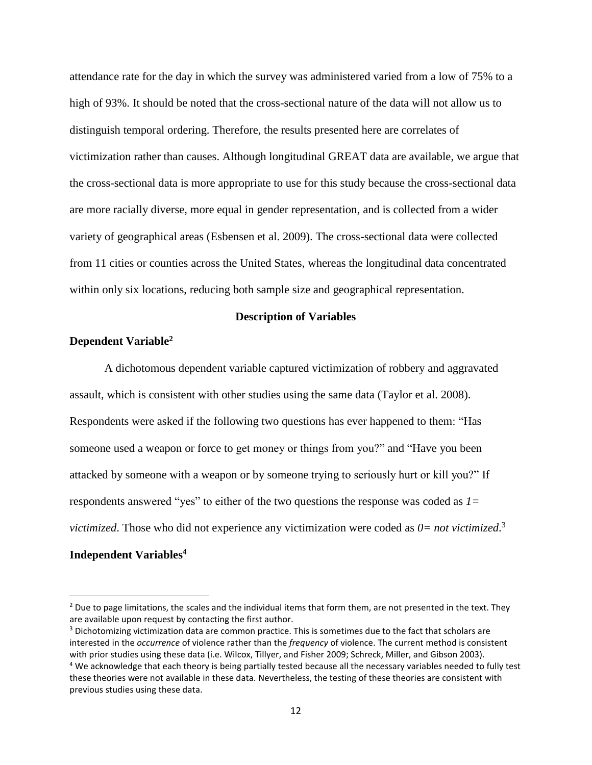attendance rate for the day in which the survey was administered varied from a low of 75% to a high of 93%. It should be noted that the cross-sectional nature of the data will not allow us to distinguish temporal ordering. Therefore, the results presented here are correlates of victimization rather than causes. Although longitudinal GREAT data are available, we argue that the cross-sectional data is more appropriate to use for this study because the cross-sectional data are more racially diverse, more equal in gender representation, and is collected from a wider variety of geographical areas (Esbensen et al. 2009). The cross-sectional data were collected from 11 cities or counties across the United States, whereas the longitudinal data concentrated within only six locations, reducing both sample size and geographical representation.

#### **Description of Variables**

## **Dependent Variable<sup>2</sup>**

A dichotomous dependent variable captured victimization of robbery and aggravated assault, which is consistent with other studies using the same data (Taylor et al. 2008). Respondents were asked if the following two questions has ever happened to them: "Has someone used a weapon or force to get money or things from you?" and "Have you been attacked by someone with a weapon or by someone trying to seriously hurt or kill you?" If respondents answered "yes" to either of the two questions the response was coded as *1= victimized*. Those who did not experience any victimization were coded as *0= not victimized*. 3

# **Independent Variables<sup>4</sup>**

 $<sup>2</sup>$  Due to page limitations, the scales and the individual items that form them, are not presented in the text. They</sup> are available upon request by contacting the first author.

<sup>&</sup>lt;sup>3</sup> Dichotomizing victimization data are common practice. This is sometimes due to the fact that scholars are interested in the *occurrence* of violence rather than the *frequency* of violence. The current method is consistent with prior studies using these data (i.e. Wilcox, Tillyer, and Fisher 2009; Schreck, Miller, and Gibson 2003). <sup>4</sup> We acknowledge that each theory is being partially tested because all the necessary variables needed to fully test these theories were not available in these data. Nevertheless, the testing of these theories are consistent with previous studies using these data.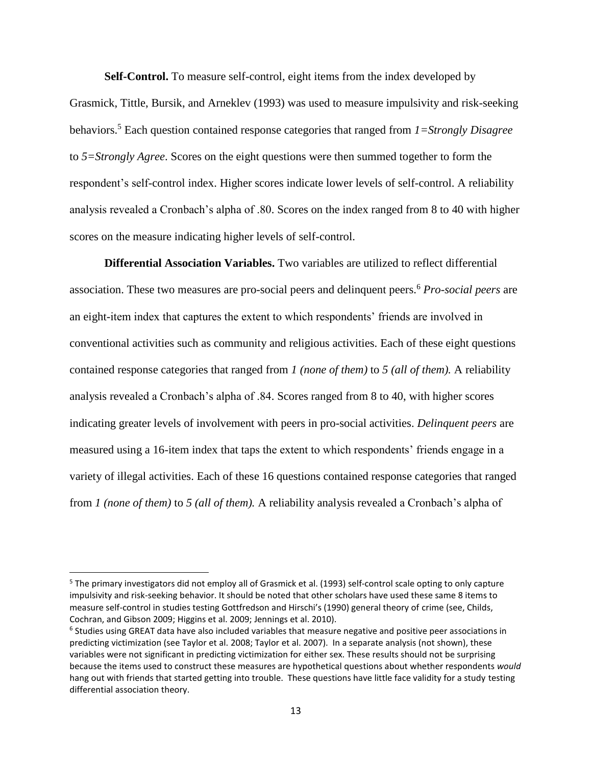**Self-Control.** To measure self-control, eight items from the index developed by Grasmick, Tittle, Bursik, and Arneklev (1993) was used to measure impulsivity and risk-seeking behaviors.<sup>5</sup> Each question contained response categories that ranged from *1=Strongly Disagree* to *5=Strongly Agree*. Scores on the eight questions were then summed together to form the respondent's self-control index. Higher scores indicate lower levels of self-control. A reliability analysis revealed a Cronbach's alpha of .80. Scores on the index ranged from 8 to 40 with higher scores on the measure indicating higher levels of self-control.

**Differential Association Variables.** Two variables are utilized to reflect differential association. These two measures are pro-social peers and delinquent peers.<sup>6</sup> *Pro-social peers* are an eight-item index that captures the extent to which respondents' friends are involved in conventional activities such as community and religious activities. Each of these eight questions contained response categories that ranged from *1 (none of them)* to *5 (all of them).* A reliability analysis revealed a Cronbach's alpha of .84. Scores ranged from 8 to 40, with higher scores indicating greater levels of involvement with peers in pro-social activities. *Delinquent peers* are measured using a 16-item index that taps the extent to which respondents' friends engage in a variety of illegal activities. Each of these 16 questions contained response categories that ranged from *1 (none of them)* to *5 (all of them).* A reliability analysis revealed a Cronbach's alpha of

<sup>5</sup> The primary investigators did not employ all of Grasmick et al. (1993) self-control scale opting to only capture impulsivity and risk-seeking behavior. It should be noted that other scholars have used these same 8 items to measure self-control in studies testing Gottfredson and Hirschi's (1990) general theory of crime (see, Childs, Cochran, and Gibson 2009; Higgins et al. 2009; Jennings et al. 2010).

<sup>&</sup>lt;sup>6</sup> Studies using GREAT data have also included variables that measure negative and positive peer associations in predicting victimization (see Taylor et al. 2008; Taylor et al. 2007). In a separate analysis (not shown), these variables were not significant in predicting victimization for either sex. These results should not be surprising because the items used to construct these measures are hypothetical questions about whether respondents *would* hang out with friends that started getting into trouble. These questions have little face validity for a study testing differential association theory.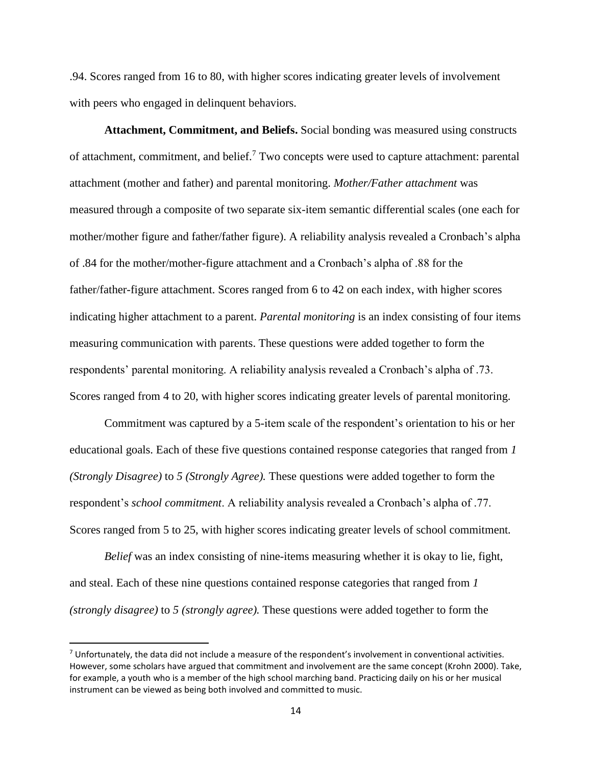.94. Scores ranged from 16 to 80, with higher scores indicating greater levels of involvement with peers who engaged in delinquent behaviors.

**Attachment, Commitment, and Beliefs.** Social bonding was measured using constructs of attachment, commitment, and belief.<sup>7</sup> Two concepts were used to capture attachment: parental attachment (mother and father) and parental monitoring. *Mother/Father attachment* was measured through a composite of two separate six-item semantic differential scales (one each for mother/mother figure and father/father figure). A reliability analysis revealed a Cronbach's alpha of .84 for the mother/mother-figure attachment and a Cronbach's alpha of .88 for the father/father-figure attachment. Scores ranged from 6 to 42 on each index, with higher scores indicating higher attachment to a parent. *Parental monitoring* is an index consisting of four items measuring communication with parents. These questions were added together to form the respondents' parental monitoring. A reliability analysis revealed a Cronbach's alpha of .73. Scores ranged from 4 to 20, with higher scores indicating greater levels of parental monitoring.

Commitment was captured by a 5-item scale of the respondent's orientation to his or her educational goals. Each of these five questions contained response categories that ranged from *1 (Strongly Disagree)* to *5 (Strongly Agree).* These questions were added together to form the respondent's *school commitment*. A reliability analysis revealed a Cronbach's alpha of .77. Scores ranged from 5 to 25, with higher scores indicating greater levels of school commitment*.*

*Belief* was an index consisting of nine-items measuring whether it is okay to lie, fight, and steal. Each of these nine questions contained response categories that ranged from *1 (strongly disagree)* to *5 (strongly agree).* These questions were added together to form the

l

 $<sup>7</sup>$  Unfortunately, the data did not include a measure of the respondent's involvement in conventional activities.</sup> However, some scholars have argued that commitment and involvement are the same concept (Krohn 2000). Take, for example, a youth who is a member of the high school marching band. Practicing daily on his or her musical instrument can be viewed as being both involved and committed to music.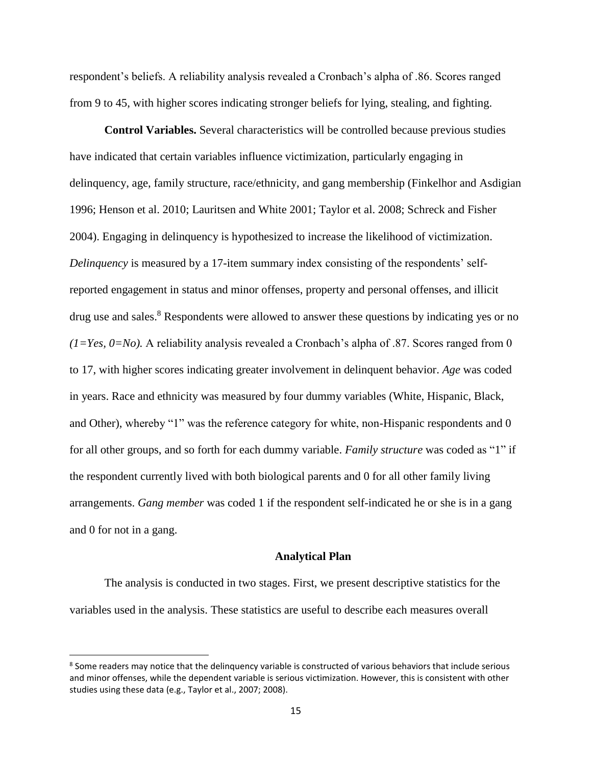respondent's beliefs. A reliability analysis revealed a Cronbach's alpha of .86. Scores ranged from 9 to 45, with higher scores indicating stronger beliefs for lying, stealing, and fighting.

**Control Variables.** Several characteristics will be controlled because previous studies have indicated that certain variables influence victimization, particularly engaging in delinquency, age, family structure, race/ethnicity, and gang membership (Finkelhor and Asdigian 1996; Henson et al. 2010; Lauritsen and White 2001; Taylor et al. 2008; Schreck and Fisher 2004). Engaging in delinquency is hypothesized to increase the likelihood of victimization. *Delinquency* is measured by a 17-item summary index consisting of the respondents' selfreported engagement in status and minor offenses, property and personal offenses, and illicit drug use and sales.<sup>8</sup> Respondents were allowed to answer these questions by indicating yes or no  $(1=Yes, 0=No)$ . A reliability analysis revealed a Cronbach's alpha of .87. Scores ranged from 0 to 17, with higher scores indicating greater involvement in delinquent behavior. *Age* was coded in years. Race and ethnicity was measured by four dummy variables (White, Hispanic, Black, and Other), whereby "1" was the reference category for white, non-Hispanic respondents and 0 for all other groups, and so forth for each dummy variable. *Family structure* was coded as "1" if the respondent currently lived with both biological parents and 0 for all other family living arrangements. *Gang member* was coded 1 if the respondent self-indicated he or she is in a gang and 0 for not in a gang.

#### **Analytical Plan**

The analysis is conducted in two stages. First, we present descriptive statistics for the variables used in the analysis. These statistics are useful to describe each measures overall

<sup>&</sup>lt;sup>8</sup> Some readers may notice that the delinquency variable is constructed of various behaviors that include serious and minor offenses, while the dependent variable is serious victimization. However, this is consistent with other studies using these data (e.g., Taylor et al., 2007; 2008).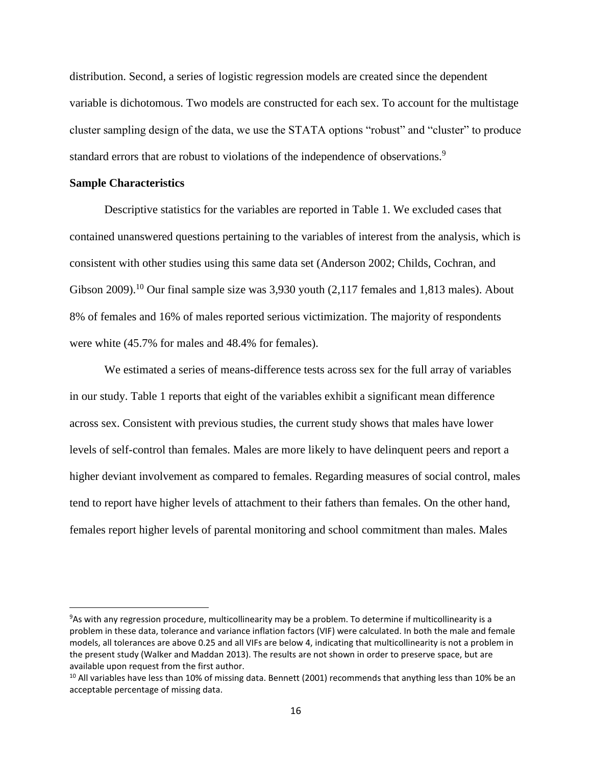distribution. Second, a series of logistic regression models are created since the dependent variable is dichotomous. Two models are constructed for each sex. To account for the multistage cluster sampling design of the data, we use the STATA options "robust" and "cluster" to produce standard errors that are robust to violations of the independence of observations.<sup>9</sup>

## **Sample Characteristics**

 $\overline{\phantom{a}}$ 

Descriptive statistics for the variables are reported in Table 1. We excluded cases that contained unanswered questions pertaining to the variables of interest from the analysis, which is consistent with other studies using this same data set (Anderson 2002; Childs, Cochran, and Gibson 2009).<sup>10</sup> Our final sample size was 3,930 youth  $(2,117)$  females and 1,813 males). About 8% of females and 16% of males reported serious victimization. The majority of respondents were white (45.7% for males and 48.4% for females).

We estimated a series of means-difference tests across sex for the full array of variables in our study. Table 1 reports that eight of the variables exhibit a significant mean difference across sex. Consistent with previous studies, the current study shows that males have lower levels of self-control than females. Males are more likely to have delinquent peers and report a higher deviant involvement as compared to females. Regarding measures of social control, males tend to report have higher levels of attachment to their fathers than females. On the other hand, females report higher levels of parental monitoring and school commitment than males. Males

<sup>9</sup>As with any regression procedure, multicollinearity may be a problem. To determine if multicollinearity is a problem in these data, tolerance and variance inflation factors (VIF) were calculated. In both the male and female models, all tolerances are above 0.25 and all VIFs are below 4, indicating that multicollinearity is not a problem in the present study (Walker and Maddan 2013). The results are not shown in order to preserve space, but are available upon request from the first author.

 $10$  All variables have less than 10% of missing data. Bennett (2001) recommends that anything less than 10% be an acceptable percentage of missing data.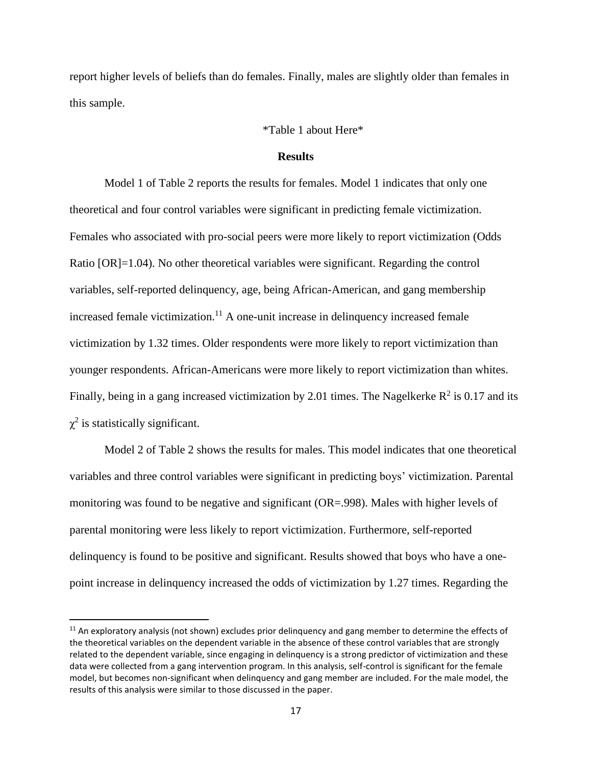report higher levels of beliefs than do females. Finally, males are slightly older than females in this sample.

## \*Table 1 about Here\*

## **Results**

Model 1 of Table 2 reports the results for females. Model 1 indicates that only one theoretical and four control variables were significant in predicting female victimization. Females who associated with pro-social peers were more likely to report victimization (Odds Ratio [OR]=1.04). No other theoretical variables were significant. Regarding the control variables, self-reported delinquency, age, being African-American, and gang membership increased female victimization.<sup>11</sup> A one-unit increase in delinquency increased female victimization by 1.32 times. Older respondents were more likely to report victimization than younger respondents. African-Americans were more likely to report victimization than whites. Finally, being in a gang increased victimization by 2.01 times. The Nagelkerke  $R^2$  is 0.17 and its  $\chi^2$  is statistically significant.

Model 2 of Table 2 shows the results for males. This model indicates that one theoretical variables and three control variables were significant in predicting boys' victimization. Parental monitoring was found to be negative and significant (OR=.998). Males with higher levels of parental monitoring were less likely to report victimization. Furthermore, self-reported delinquency is found to be positive and significant. Results showed that boys who have a onepoint increase in delinquency increased the odds of victimization by 1.27 times. Regarding the

l

<sup>&</sup>lt;sup>11</sup> An exploratory analysis (not shown) excludes prior delinquency and gang member to determine the effects of the theoretical variables on the dependent variable in the absence of these control variables that are strongly related to the dependent variable, since engaging in delinquency is a strong predictor of victimization and these data were collected from a gang intervention program. In this analysis, self-control is significant for the female model, but becomes non-significant when delinquency and gang member are included. For the male model, the results of this analysis were similar to those discussed in the paper.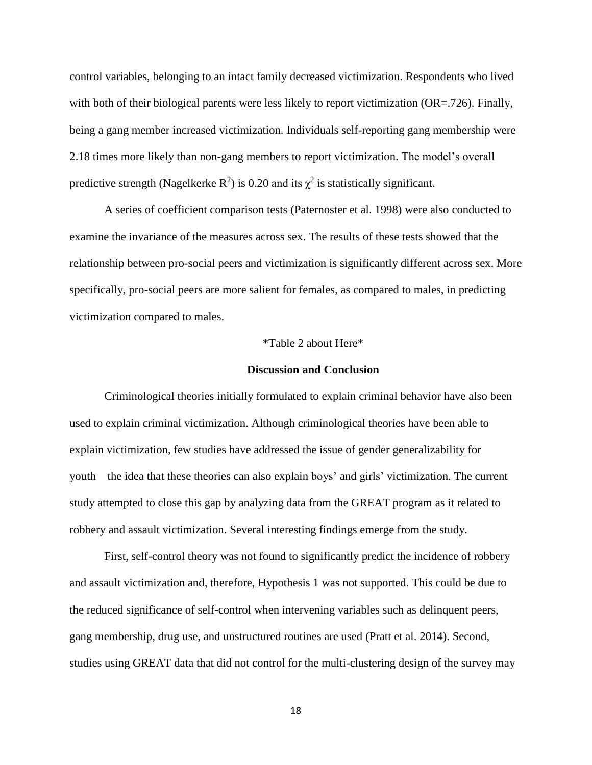control variables, belonging to an intact family decreased victimization. Respondents who lived with both of their biological parents were less likely to report victimization (OR=.726). Finally, being a gang member increased victimization. Individuals self-reporting gang membership were 2.18 times more likely than non-gang members to report victimization. The model's overall predictive strength (Nagelkerke R<sup>2</sup>) is 0.20 and its  $\chi^2$  is statistically significant.

A series of coefficient comparison tests (Paternoster et al. 1998) were also conducted to examine the invariance of the measures across sex. The results of these tests showed that the relationship between pro-social peers and victimization is significantly different across sex. More specifically, pro-social peers are more salient for females, as compared to males, in predicting victimization compared to males.

#### \*Table 2 about Here\*

#### **Discussion and Conclusion**

Criminological theories initially formulated to explain criminal behavior have also been used to explain criminal victimization. Although criminological theories have been able to explain victimization, few studies have addressed the issue of gender generalizability for youth—the idea that these theories can also explain boys' and girls' victimization. The current study attempted to close this gap by analyzing data from the GREAT program as it related to robbery and assault victimization. Several interesting findings emerge from the study.

First, self-control theory was not found to significantly predict the incidence of robbery and assault victimization and, therefore, Hypothesis 1 was not supported. This could be due to the reduced significance of self-control when intervening variables such as delinquent peers, gang membership, drug use, and unstructured routines are used (Pratt et al. 2014). Second, studies using GREAT data that did not control for the multi-clustering design of the survey may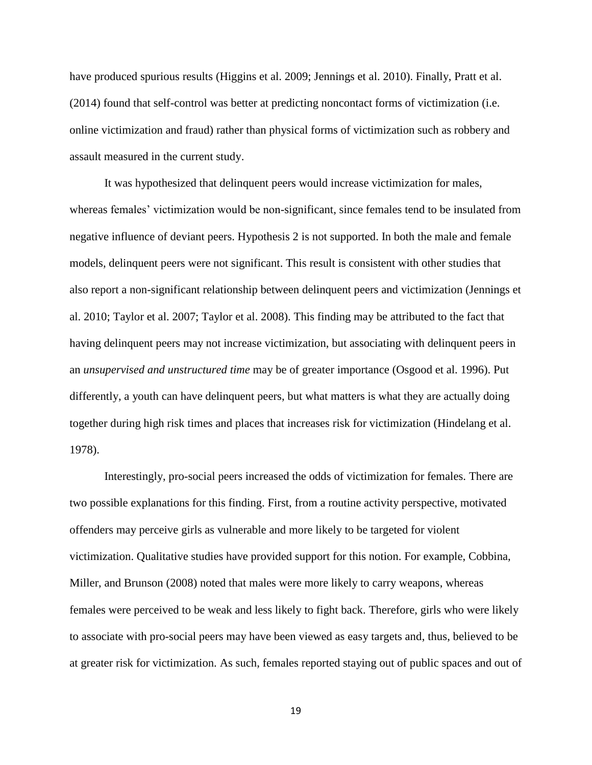have produced spurious results (Higgins et al. 2009; Jennings et al. 2010). Finally, Pratt et al. (2014) found that self-control was better at predicting noncontact forms of victimization (i.e. online victimization and fraud) rather than physical forms of victimization such as robbery and assault measured in the current study.

It was hypothesized that delinquent peers would increase victimization for males, whereas females' victimization would be non-significant, since females tend to be insulated from negative influence of deviant peers. Hypothesis 2 is not supported. In both the male and female models, delinquent peers were not significant. This result is consistent with other studies that also report a non-significant relationship between delinquent peers and victimization (Jennings et al. 2010; Taylor et al. 2007; Taylor et al. 2008). This finding may be attributed to the fact that having delinquent peers may not increase victimization, but associating with delinquent peers in an *unsupervised and unstructured time* may be of greater importance (Osgood et al. 1996). Put differently, a youth can have delinquent peers, but what matters is what they are actually doing together during high risk times and places that increases risk for victimization (Hindelang et al. 1978).

Interestingly, pro-social peers increased the odds of victimization for females. There are two possible explanations for this finding. First, from a routine activity perspective, motivated offenders may perceive girls as vulnerable and more likely to be targeted for violent victimization. Qualitative studies have provided support for this notion. For example, Cobbina, Miller, and Brunson (2008) noted that males were more likely to carry weapons, whereas females were perceived to be weak and less likely to fight back. Therefore, girls who were likely to associate with pro-social peers may have been viewed as easy targets and, thus, believed to be at greater risk for victimization. As such, females reported staying out of public spaces and out of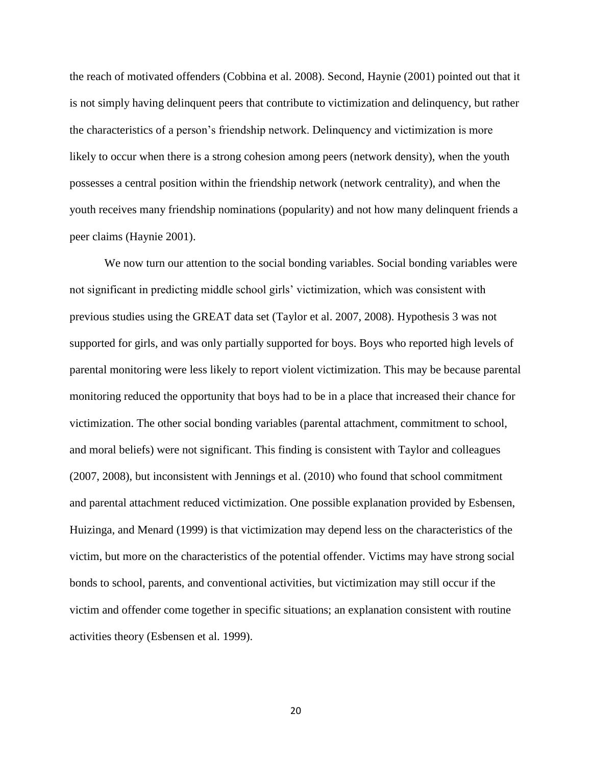the reach of motivated offenders (Cobbina et al. 2008). Second, Haynie (2001) pointed out that it is not simply having delinquent peers that contribute to victimization and delinquency, but rather the characteristics of a person's friendship network. Delinquency and victimization is more likely to occur when there is a strong cohesion among peers (network density), when the youth possesses a central position within the friendship network (network centrality), and when the youth receives many friendship nominations (popularity) and not how many delinquent friends a peer claims (Haynie 2001).

We now turn our attention to the social bonding variables. Social bonding variables were not significant in predicting middle school girls' victimization, which was consistent with previous studies using the GREAT data set (Taylor et al. 2007, 2008). Hypothesis 3 was not supported for girls, and was only partially supported for boys. Boys who reported high levels of parental monitoring were less likely to report violent victimization. This may be because parental monitoring reduced the opportunity that boys had to be in a place that increased their chance for victimization. The other social bonding variables (parental attachment, commitment to school, and moral beliefs) were not significant. This finding is consistent with Taylor and colleagues (2007, 2008), but inconsistent with Jennings et al. (2010) who found that school commitment and parental attachment reduced victimization. One possible explanation provided by Esbensen, Huizinga, and Menard (1999) is that victimization may depend less on the characteristics of the victim, but more on the characteristics of the potential offender. Victims may have strong social bonds to school, parents, and conventional activities, but victimization may still occur if the victim and offender come together in specific situations; an explanation consistent with routine activities theory (Esbensen et al. 1999).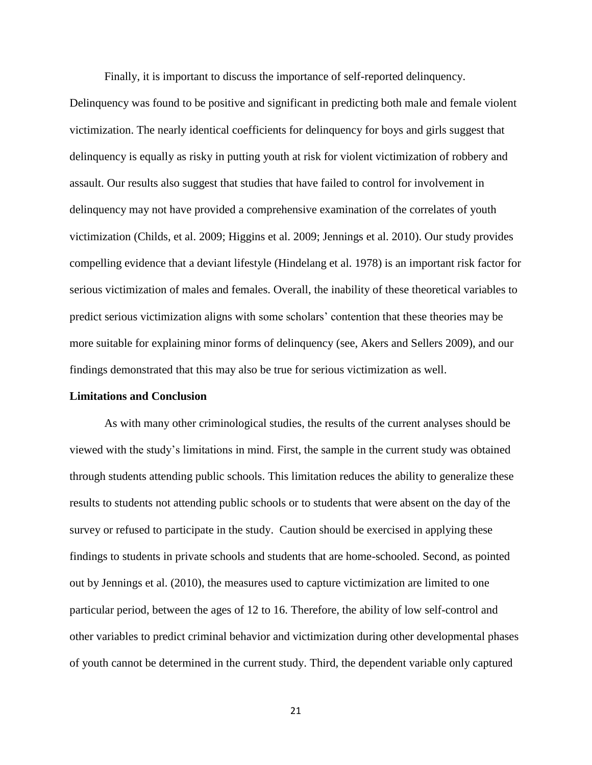Finally, it is important to discuss the importance of self-reported delinquency.

Delinquency was found to be positive and significant in predicting both male and female violent victimization. The nearly identical coefficients for delinquency for boys and girls suggest that delinquency is equally as risky in putting youth at risk for violent victimization of robbery and assault. Our results also suggest that studies that have failed to control for involvement in delinquency may not have provided a comprehensive examination of the correlates of youth victimization (Childs, et al. 2009; Higgins et al. 2009; Jennings et al. 2010). Our study provides compelling evidence that a deviant lifestyle (Hindelang et al. 1978) is an important risk factor for serious victimization of males and females. Overall, the inability of these theoretical variables to predict serious victimization aligns with some scholars' contention that these theories may be more suitable for explaining minor forms of delinquency (see, Akers and Sellers 2009), and our findings demonstrated that this may also be true for serious victimization as well.

#### **Limitations and Conclusion**

As with many other criminological studies, the results of the current analyses should be viewed with the study's limitations in mind. First, the sample in the current study was obtained through students attending public schools. This limitation reduces the ability to generalize these results to students not attending public schools or to students that were absent on the day of the survey or refused to participate in the study. Caution should be exercised in applying these findings to students in private schools and students that are home-schooled. Second, as pointed out by Jennings et al. (2010), the measures used to capture victimization are limited to one particular period, between the ages of 12 to 16. Therefore, the ability of low self-control and other variables to predict criminal behavior and victimization during other developmental phases of youth cannot be determined in the current study. Third, the dependent variable only captured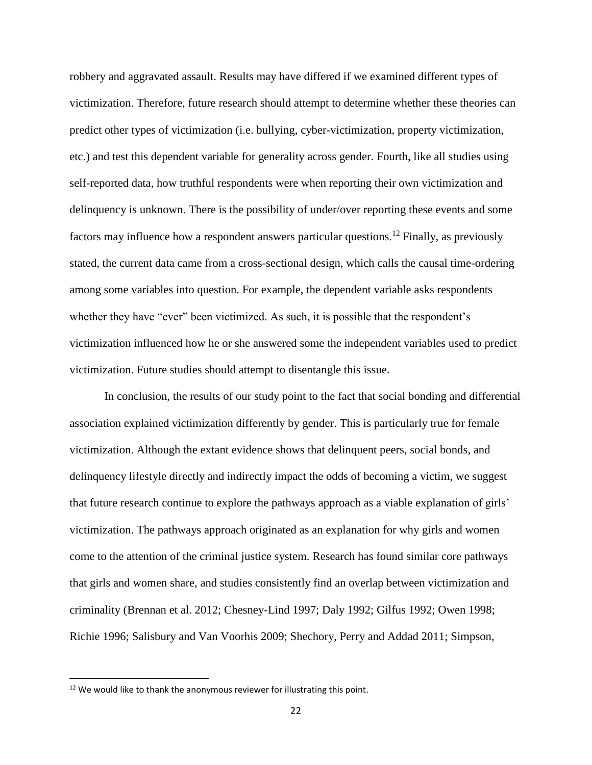robbery and aggravated assault. Results may have differed if we examined different types of victimization. Therefore, future research should attempt to determine whether these theories can predict other types of victimization (i.e. bullying, cyber-victimization, property victimization, etc.) and test this dependent variable for generality across gender. Fourth, like all studies using self-reported data, how truthful respondents were when reporting their own victimization and delinquency is unknown. There is the possibility of under/over reporting these events and some factors may influence how a respondent answers particular questions.<sup>12</sup> Finally, as previously stated, the current data came from a cross-sectional design, which calls the causal time-ordering among some variables into question. For example, the dependent variable asks respondents whether they have "ever" been victimized. As such, it is possible that the respondent's victimization influenced how he or she answered some the independent variables used to predict victimization. Future studies should attempt to disentangle this issue.

In conclusion, the results of our study point to the fact that social bonding and differential association explained victimization differently by gender. This is particularly true for female victimization. Although the extant evidence shows that delinquent peers, social bonds, and delinquency lifestyle directly and indirectly impact the odds of becoming a victim, we suggest that future research continue to explore the pathways approach as a viable explanation of girls' victimization. The pathways approach originated as an explanation for why girls and women come to the attention of the criminal justice system. Research has found similar core pathways that girls and women share, and studies consistently find an overlap between victimization and criminality (Brennan et al. 2012; Chesney-Lind 1997; Daly 1992; Gilfus 1992; Owen 1998; Richie 1996; Salisbury and Van Voorhis 2009; Shechory, Perry and Addad 2011; Simpson,

 $\overline{\phantom{a}}$ 

<sup>&</sup>lt;sup>12</sup> We would like to thank the anonymous reviewer for illustrating this point.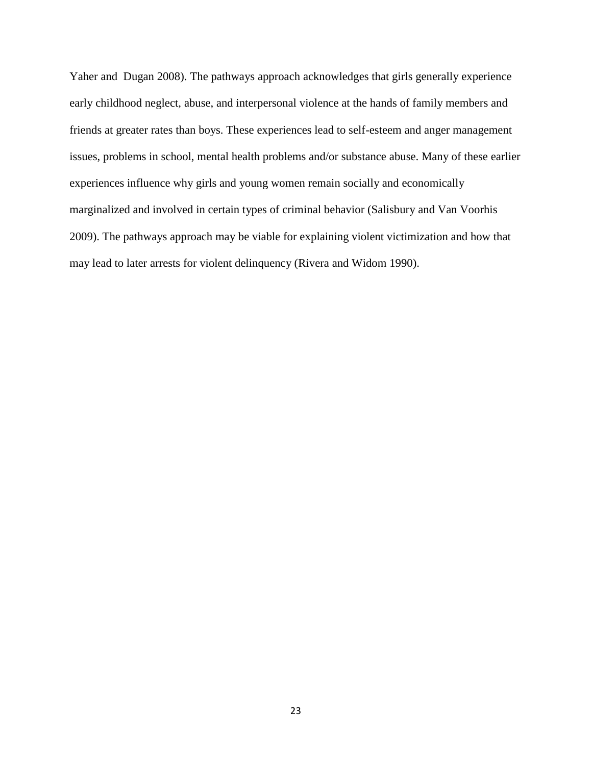Yaher and Dugan 2008). The pathways approach acknowledges that girls generally experience early childhood neglect, abuse, and interpersonal violence at the hands of family members and friends at greater rates than boys. These experiences lead to self-esteem and anger management issues, problems in school, mental health problems and/or substance abuse. Many of these earlier experiences influence why girls and young women remain socially and economically marginalized and involved in certain types of criminal behavior (Salisbury and Van Voorhis 2009). The pathways approach may be viable for explaining violent victimization and how that may lead to later arrests for violent delinquency (Rivera and Widom 1990).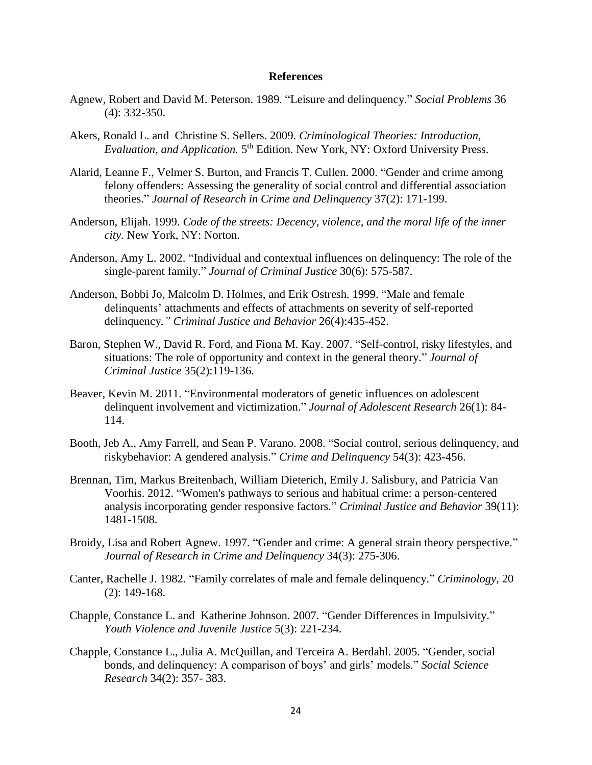#### **References**

- Agnew, Robert and David M. Peterson. 1989. "Leisure and delinquency." *Social Problems* 36 (4): 332-350.
- Akers, Ronald L. and Christine S. Sellers. 2009. *Criminological Theories: Introduction,*  Evaluation, and Application. 5<sup>th</sup> Edition. New York, NY: Oxford University Press.
- Alarid, Leanne F., Velmer S. Burton, and Francis T. Cullen. 2000. "Gender and crime among felony offenders: Assessing the generality of social control and differential association theories." *Journal of Research in Crime and Delinquency* 37(2): 171-199.
- Anderson, Elijah. 1999. *Code of the streets: Decency, violence, and the moral life of the inner city.* New York, NY: Norton.
- Anderson, Amy L. 2002. "Individual and contextual influences on delinquency: The role of the single-parent family." *Journal of Criminal Justice* 30(6): 575-587.
- Anderson, Bobbi Jo, Malcolm D. Holmes, and Erik Ostresh. 1999. "Male and female delinquents' attachments and effects of attachments on severity of self-reported delinquency*." Criminal Justice and Behavior* 26(4):435-452.
- Baron, Stephen W., David R. Ford, and Fiona M. Kay. 2007. "Self-control, risky lifestyles, and situations: The role of opportunity and context in the general theory." *Journal of Criminal Justice* 35(2):119-136.
- Beaver, Kevin M. 2011. "Environmental moderators of genetic influences on adolescent delinquent involvement and victimization." *Journal of Adolescent Research* 26(1): 84- 114.
- Booth, Jeb A., Amy Farrell, and Sean P. Varano. 2008. "Social control, serious delinquency, and riskybehavior: A gendered analysis." *Crime and Delinquency* 54(3): 423-456.
- Brennan, Tim, Markus Breitenbach, William Dieterich, Emily J. Salisbury, and Patricia Van Voorhis. 2012. "Women's pathways to serious and habitual crime: a person-centered analysis incorporating gender responsive factors." *Criminal Justice and Behavior* 39(11): 1481-1508.
- Broidy, Lisa and Robert Agnew. 1997. "Gender and crime: A general strain theory perspective." *Journal of Research in Crime and Delinquency* 34(3): 275-306.
- Canter, Rachelle J. 1982. "Family correlates of male and female delinquency." *Criminology*, 20 (2): 149-168.
- Chapple, Constance L. and Katherine Johnson. 2007. "Gender Differences in Impulsivity." *Youth Violence and Juvenile Justice* 5(3): 221-234.
- Chapple, Constance L., Julia A. McQuillan, and Terceira A. Berdahl. 2005. "Gender, social bonds, and delinquency: A comparison of boys' and girls' models." *Social Science Research* 34(2): 357- 383.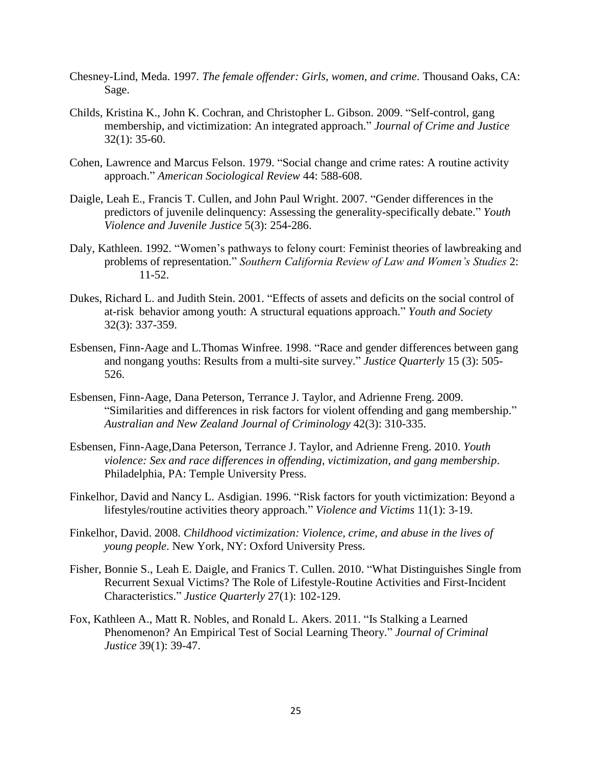- Chesney-Lind, Meda. 1997*. The female offender: Girls, women, and crime*. Thousand Oaks, CA: Sage.
- Childs, Kristina K., John K. Cochran, and Christopher L. Gibson. 2009. "Self-control, gang membership, and victimization: An integrated approach." *Journal of Crime and Justice* 32(1): 35-60.
- Cohen, Lawrence and Marcus Felson. 1979. "Social change and crime rates: A routine activity approach." *American Sociological Review* 44: 588-608.
- Daigle, Leah E., Francis T. Cullen, and John Paul Wright. 2007. "Gender differences in the predictors of juvenile delinquency: Assessing the generality-specifically debate." *Youth Violence and Juvenile Justice* 5(3): 254-286.
- Daly, Kathleen. 1992. "Women's pathways to felony court: Feminist theories of lawbreaking and problems of representation." *Southern California Review of Law and Women's Studies* 2: 11-52.
- Dukes, Richard L. and Judith Stein. 2001. "Effects of assets and deficits on the social control of at-risk behavior among youth: A structural equations approach." *Youth and Society* 32(3): 337-359.
- Esbensen, Finn-Aage and L.Thomas Winfree. 1998. "Race and gender differences between gang and nongang youths: Results from a multi-site survey." *Justice Quarterly* 15 (3): 505- 526.
- Esbensen, Finn-Aage, Dana Peterson, Terrance J. Taylor, and Adrienne Freng. 2009. "Similarities and differences in risk factors for violent offending and gang membership." *Australian and New Zealand Journal of Criminology* 42(3): 310-335.
- Esbensen, Finn-Aage,Dana Peterson, Terrance J. Taylor, and Adrienne Freng. 2010. *Youth violence: Sex and race differences in offending, victimization, and gang membership*. Philadelphia, PA: Temple University Press.
- Finkelhor, David and Nancy L. Asdigian. 1996. "Risk factors for youth victimization: Beyond a lifestyles/routine activities theory approach." *Violence and Victims* 11(1): 3-19.
- Finkelhor, David. 2008. *Childhood victimization: Violence, crime, and abuse in the lives of young people*. New York, NY: Oxford University Press.
- Fisher, Bonnie S., Leah E. Daigle, and Franics T. Cullen. 2010. "What Distinguishes Single from Recurrent Sexual Victims? The Role of Lifestyle-Routine Activities and First-Incident Characteristics." *Justice Quarterly* 27(1): 102-129.
- Fox, Kathleen A., Matt R. Nobles, and Ronald L. Akers. 2011. "Is Stalking a Learned Phenomenon? An Empirical Test of Social Learning Theory." *Journal of Criminal Justice* 39(1): 39-47.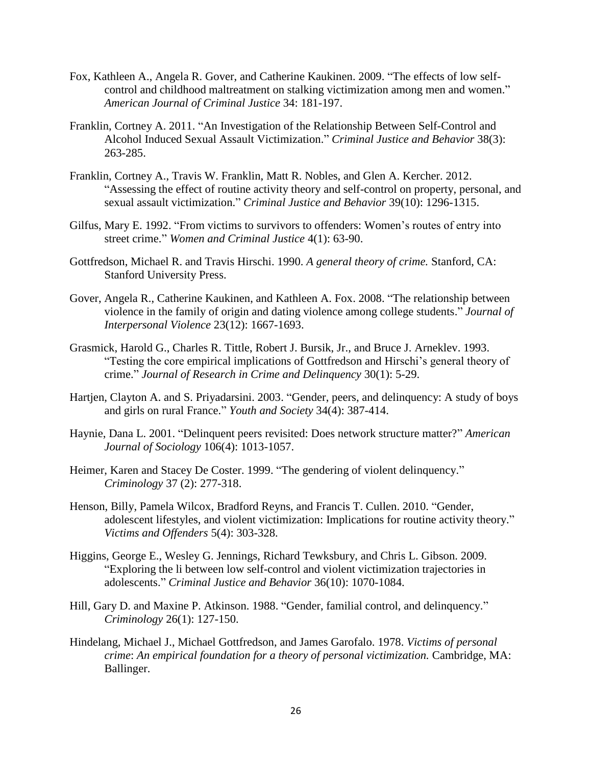- Fox, Kathleen A., Angela R. Gover, and Catherine Kaukinen. 2009. "The effects of low selfcontrol and childhood maltreatment on stalking victimization among men and women." *American Journal of Criminal Justice* 34: 181-197.
- Franklin, Cortney A. 2011. "An Investigation of the Relationship Between Self-Control and Alcohol Induced Sexual Assault Victimization." *Criminal Justice and Behavior* 38(3): 263-285.
- Franklin, Cortney A., Travis W. Franklin, Matt R. Nobles, and Glen A. Kercher. 2012. "Assessing the effect of routine activity theory and self-control on property, personal, and sexual assault victimization." *Criminal Justice and Behavior* 39(10): 1296-1315.
- Gilfus, Mary E. 1992. "From victims to survivors to offenders: Women's routes of entry into street crime." *Women and Criminal Justice* 4(1): 63-90.
- Gottfredson, Michael R. and Travis Hirschi. 1990. *A general theory of crime.* Stanford, CA: Stanford University Press.
- Gover, Angela R., Catherine Kaukinen, and Kathleen A. Fox. 2008. "The relationship between violence in the family of origin and dating violence among college students." *Journal of Interpersonal Violence* 23(12): 1667-1693.
- Grasmick, Harold G., Charles R. Tittle, Robert J. Bursik, Jr., and Bruce J. Arneklev. 1993. "Testing the core empirical implications of Gottfredson and Hirschi's general theory of crime." *Journal of Research in Crime and Delinquency* 30(1): 5-29.
- Hartjen, Clayton A. and S. Priyadarsini. 2003. "Gender, peers, and delinquency: A study of boys and girls on rural France." *Youth and Society* 34(4): 387-414.
- Haynie, Dana L. 2001. "Delinquent peers revisited: Does network structure matter?" *American Journal of Sociology* 106(4): 1013-1057.
- Heimer, Karen and Stacey De Coster. 1999. "The gendering of violent delinquency." *Criminology* 37 (2): 277-318.
- Henson, Billy, Pamela Wilcox, Bradford Reyns, and Francis T. Cullen. 2010. "Gender, adolescent lifestyles, and violent victimization: Implications for routine activity theory." *Victims and Offenders* 5(4): 303-328.
- Higgins, George E., Wesley G. Jennings, Richard Tewksbury, and Chris L. Gibson. 2009. "Exploring the li between low self-control and violent victimization trajectories in adolescents." *Criminal Justice and Behavior* 36(10): 1070-1084.
- Hill, Gary D. and Maxine P. Atkinson. 1988. "Gender, familial control, and delinquency." *Criminology* 26(1): 127-150.
- Hindelang, Michael J., Michael Gottfredson, and James Garofalo. 1978. *Victims of personal crime*: *An empirical foundation for a theory of personal victimization.* Cambridge, MA: Ballinger.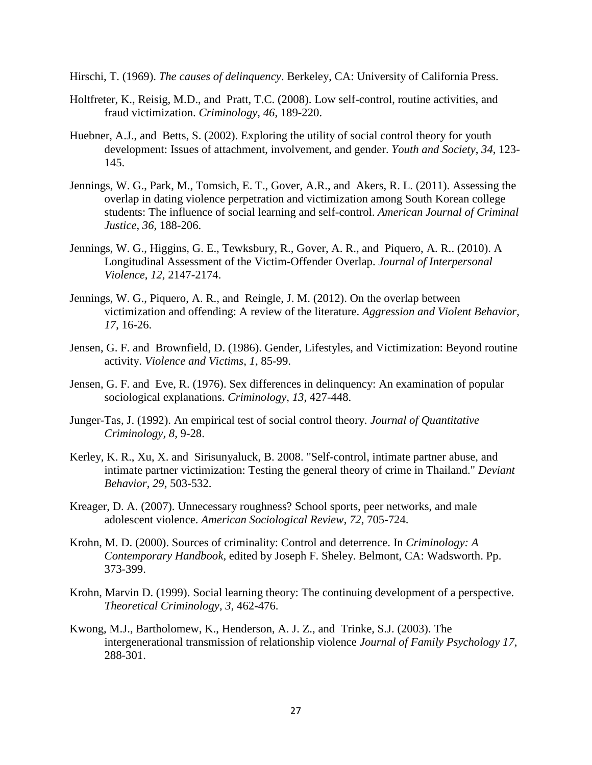Hirschi, T. (1969). *The causes of delinquency*. Berkeley, CA: University of California Press.

- Holtfreter, K., Reisig, M.D., and Pratt, T.C. (2008). Low self-control, routine activities, and fraud victimization. *Criminology*, *46*, 189-220.
- Huebner, A.J., and Betts, S. (2002). Exploring the utility of social control theory for youth development: Issues of attachment, involvement, and gender. *Youth and Society*, *34*, 123- 145.
- Jennings, W. G., Park, M., Tomsich, E. T., Gover, A.R., and Akers, R. L. (2011). Assessing the overlap in dating violence perpetration and victimization among South Korean college students: The influence of social learning and self-control. *American Journal of Criminal Justice*, *36*, 188-206.
- Jennings, W. G., Higgins, G. E., Tewksbury, R., Gover, A. R., and Piquero, A. R.. (2010). A Longitudinal Assessment of the Victim-Offender Overlap. *Journal of Interpersonal Violence*, *12*, 2147-2174.
- Jennings, W. G., Piquero, A. R., and Reingle, J. M. (2012). On the overlap between victimization and offending: A review of the literature. *Aggression and Violent Behavior*, *17*, 16-26.
- Jensen, G. F. and Brownfield, D. (1986). Gender, Lifestyles, and Victimization: Beyond routine activity. *Violence and Victims*, *1*, 85-99.
- Jensen, G. F. and Eve, R. (1976). Sex differences in delinquency: An examination of popular sociological explanations. *Criminology*, *13*, 427-448.
- Junger-Tas, J. (1992). An empirical test of social control theory. *Journal of Quantitative Criminology, 8*, 9-28.
- Kerley, K. R., Xu, X. and Sirisunyaluck, B. 2008. "Self-control, intimate partner abuse, and intimate partner victimization: Testing the general theory of crime in Thailand." *Deviant Behavior*, *29*, 503-532.
- Kreager, D. A. (2007). Unnecessary roughness? School sports, peer networks, and male adolescent violence. *American Sociological Review*, *72*, 705-724.
- Krohn, M. D. (2000). Sources of criminality: Control and deterrence. In *Criminology: A Contemporary Handbook,* edited by Joseph F. Sheley. Belmont, CA: Wadsworth. Pp. 373-399.
- Krohn, Marvin D. (1999). Social learning theory: The continuing development of a perspective. *Theoretical Criminology*, *3*, 462-476.
- Kwong, M.J., Bartholomew, K., Henderson, A. J. Z., and Trinke, S.J. (2003). The intergenerational transmission of relationship violence *Journal of Family Psychology 17*, 288-301.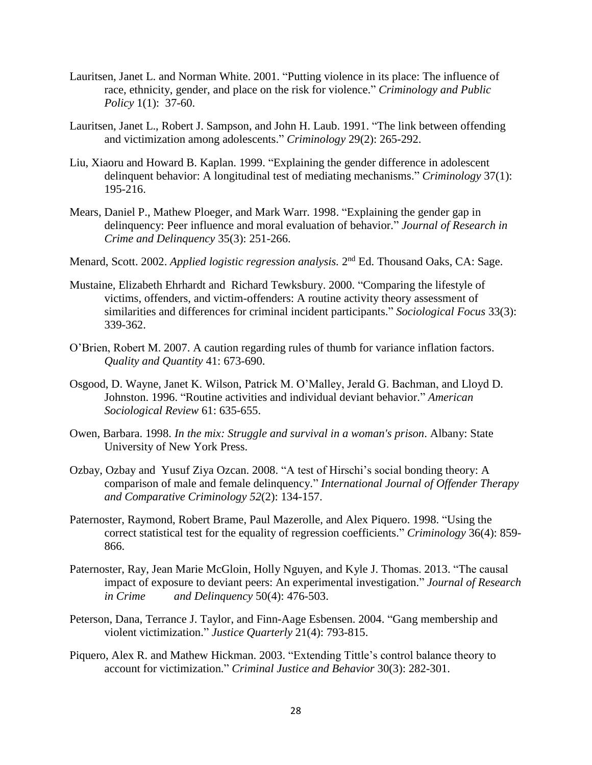- Lauritsen, Janet L. and Norman White. 2001. "Putting violence in its place: The influence of race, ethnicity, gender, and place on the risk for violence." *Criminology and Public Policy* 1(1): 37-60.
- Lauritsen, Janet L., Robert J. Sampson, and John H. Laub. 1991. "The link between offending and victimization among adolescents." *Criminology* 29(2): 265-292.
- Liu, Xiaoru and Howard B. Kaplan. 1999. "Explaining the gender difference in adolescent delinquent behavior: A longitudinal test of mediating mechanisms." *Criminology* 37(1): 195-216.
- Mears, Daniel P., Mathew Ploeger, and Mark Warr. 1998. "Explaining the gender gap in delinquency: Peer influence and moral evaluation of behavior." *Journal of Research in Crime and Delinquency* 35(3): 251-266.
- Menard, Scott. 2002. Applied logistic regression analysis. 2<sup>nd</sup> Ed. Thousand Oaks, CA: Sage.
- Mustaine, Elizabeth Ehrhardt and Richard Tewksbury. 2000. "Comparing the lifestyle of victims, offenders, and victim-offenders: A routine activity theory assessment of similarities and differences for criminal incident participants." *Sociological Focus* 33(3): 339-362.
- O'Brien, Robert M. 2007. A caution regarding rules of thumb for variance inflation factors. *Quality and Quantity* 41: 673-690.
- Osgood, D. Wayne, Janet K. Wilson, Patrick M. O'Malley, Jerald G. Bachman, and Lloyd D. Johnston. 1996. "Routine activities and individual deviant behavior." *American Sociological Review* 61: 635-655.
- Owen, Barbara. 1998. *In the mix: Struggle and survival in a woman's prison*. Albany: State University of New York Press.
- Ozbay, Ozbay and Yusuf Ziya Ozcan. 2008. "A test of Hirschi's social bonding theory: A comparison of male and female delinquency." *International Journal of Offender Therapy and Comparative Criminology 52*(2): 134-157.
- Paternoster, Raymond, Robert Brame, Paul Mazerolle, and Alex Piquero. 1998. "Using the correct statistical test for the equality of regression coefficients." *Criminology* 36(4): 859- 866.
- Paternoster, Ray, Jean Marie McGloin, Holly Nguyen, and Kyle J. Thomas. 2013. "The causal impact of exposure to deviant peers: An experimental investigation." *Journal of Research in Crime and Delinquency* 50(4): 476-503.
- Peterson, Dana, Terrance J. Taylor, and Finn-Aage Esbensen. 2004. "Gang membership and violent victimization." *Justice Quarterly* 21(4): 793-815.
- Piquero, Alex R. and Mathew Hickman. 2003. "Extending Tittle's control balance theory to account for victimization." *Criminal Justice and Behavior* 30(3): 282-301.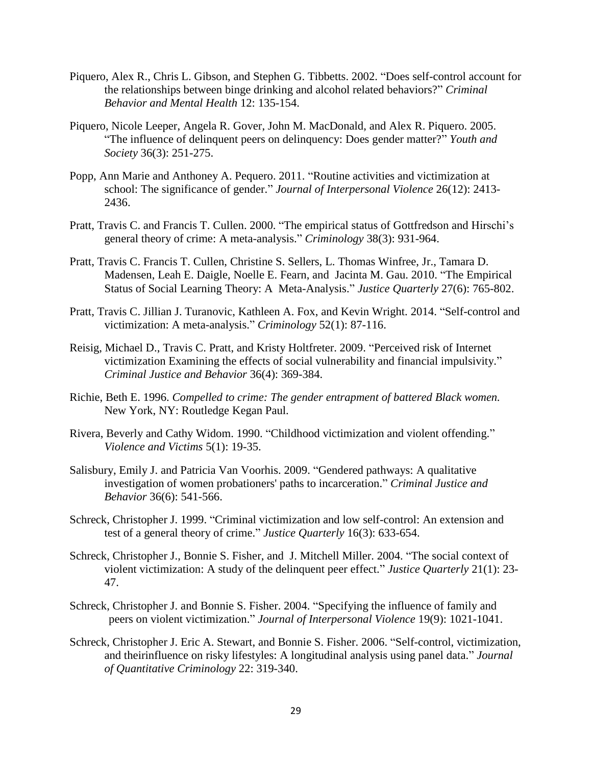- Piquero, Alex R., Chris L. Gibson, and Stephen G. Tibbetts. 2002. "Does self-control account for the relationships between binge drinking and alcohol related behaviors?" *Criminal Behavior and Mental Health* 12: 135-154.
- Piquero, Nicole Leeper, Angela R. Gover, John M. MacDonald, and Alex R. Piquero. 2005. "The influence of delinquent peers on delinquency: Does gender matter?" *Youth and Society* 36(3): 251-275.
- Popp, Ann Marie and Anthoney A. Pequero. 2011. "Routine activities and victimization at school: The significance of gender." *Journal of Interpersonal Violence* 26(12): 2413- 2436.
- Pratt, Travis C. and Francis T. Cullen. 2000. "The empirical status of Gottfredson and Hirschi's general theory of crime: A meta-analysis." *Criminology* 38(3): 931-964.
- Pratt, Travis C. Francis T. Cullen, Christine S. Sellers, L. Thomas Winfree, Jr., Tamara D. Madensen, Leah E. Daigle, Noelle E. Fearn, and Jacinta M. Gau. 2010. "The Empirical Status of Social Learning Theory: A Meta-Analysis." *Justice Quarterly* 27(6): 765-802.
- Pratt, Travis C. Jillian J. Turanovic, Kathleen A. Fox, and Kevin Wright. 2014. "Self-control and victimization: A meta-analysis." *Criminology* 52(1): 87-116.
- Reisig, Michael D., Travis C. Pratt, and Kristy Holtfreter. 2009. "Perceived risk of Internet victimization Examining the effects of social vulnerability and financial impulsivity." *Criminal Justice and Behavior* 36(4): 369-384.
- Richie, Beth E. 1996. *Compelled to crime: The gender entrapment of battered Black women.* New York, NY: Routledge Kegan Paul.
- Rivera, Beverly and Cathy Widom. 1990. "Childhood victimization and violent offending." *Violence and Victims* 5(1): 19-35.
- Salisbury, Emily J. and Patricia Van Voorhis. 2009. "Gendered pathways: A qualitative investigation of women probationers' paths to incarceration." *Criminal Justice and Behavior* 36(6): 541-566.
- Schreck, Christopher J. 1999. "Criminal victimization and low self-control: An extension and test of a general theory of crime." *Justice Quarterly* 16(3): 633-654.
- Schreck, Christopher J., Bonnie S. Fisher, and J. Mitchell Miller. 2004. "The social context of violent victimization: A study of the delinquent peer effect." *Justice Quarterly* 21(1): 23- 47.
- Schreck, Christopher J. and Bonnie S. Fisher. 2004. "Specifying the influence of family and peers on violent victimization." *Journal of Interpersonal Violence* 19(9): 1021-1041.
- Schreck, Christopher J. Eric A. Stewart, and Bonnie S. Fisher. 2006. "Self-control, victimization, and theirinfluence on risky lifestyles: A longitudinal analysis using panel data." *Journal of Quantitative Criminology* 22: 319-340.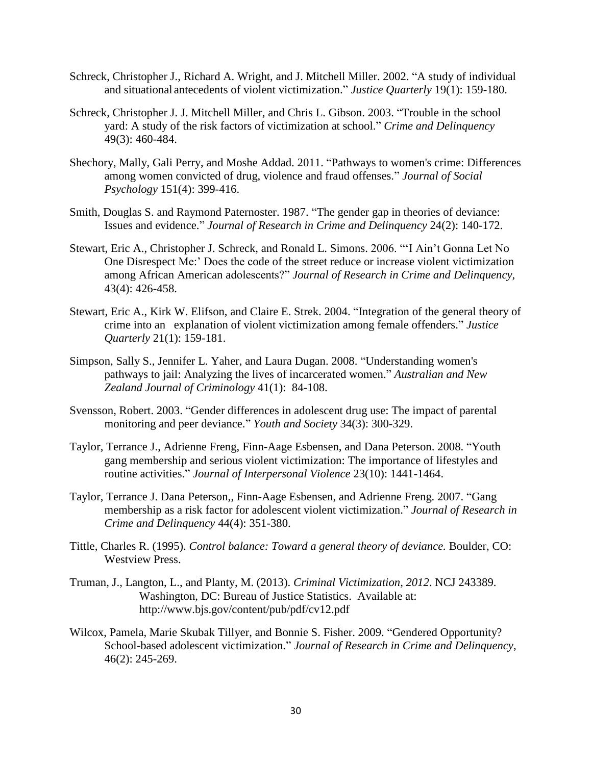- Schreck, Christopher J., Richard A. Wright, and J. Mitchell Miller. 2002. "A study of individual and situational antecedents of violent victimization." *Justice Quarterly* 19(1): 159-180.
- Schreck, Christopher J. J. Mitchell Miller, and Chris L. Gibson. 2003. "Trouble in the school yard: A study of the risk factors of victimization at school." *Crime and Delinquency* 49(3): 460-484.
- Shechory, Mally, Gali Perry, and Moshe Addad. 2011. "Pathways to women's crime: Differences among women convicted of drug, violence and fraud offenses." *Journal of Social Psychology* 151(4): 399-416.
- Smith, Douglas S. and Raymond Paternoster. 1987. "The gender gap in theories of deviance: Issues and evidence." *Journal of Research in Crime and Delinquency* 24(2): 140-172.
- Stewart, Eric A., Christopher J. Schreck, and Ronald L. Simons. 2006. "'I Ain't Gonna Let No One Disrespect Me:' Does the code of the street reduce or increase violent victimization among African American adolescents?" *Journal of Research in Crime and Delinquency*, 43(4): 426-458.
- Stewart, Eric A., Kirk W. Elifson, and Claire E. Strek. 2004. "Integration of the general theory of crime into an explanation of violent victimization among female offenders." *Justice Quarterly* 21(1): 159-181.
- Simpson, Sally S., Jennifer L. Yaher, and Laura Dugan. 2008. "Understanding women's pathways to jail: Analyzing the lives of incarcerated women." *Australian and New Zealand Journal of Criminology* 41(1): 84-108.
- Svensson, Robert. 2003. "Gender differences in adolescent drug use: The impact of parental monitoring and peer deviance." *Youth and Society* 34(3): 300-329.
- Taylor, Terrance J., Adrienne Freng, Finn-Aage Esbensen, and Dana Peterson. 2008. "Youth gang membership and serious violent victimization: The importance of lifestyles and routine activities." *Journal of Interpersonal Violence* 23(10): 1441-1464.
- Taylor, Terrance J. Dana Peterson,, Finn-Aage Esbensen, and Adrienne Freng. 2007. "Gang membership as a risk factor for adolescent violent victimization." *Journal of Research in Crime and Delinquency* 44(4): 351-380.
- Tittle, Charles R. (1995). *Control balance: Toward a general theory of deviance.* Boulder, CO: Westview Press.
- Truman, J., Langton, L., and Planty, M. (2013). *Criminal Victimization, 2012*. NCJ 243389. Washington, DC: Bureau of Justice Statistics. Available at: http://www.bjs.gov/content/pub/pdf/cv12.pdf
- Wilcox, Pamela, Marie Skubak Tillyer, and Bonnie S. Fisher. 2009. "Gendered Opportunity? School-based adolescent victimization." *Journal of Research in Crime and Delinquency*, 46(2): 245-269.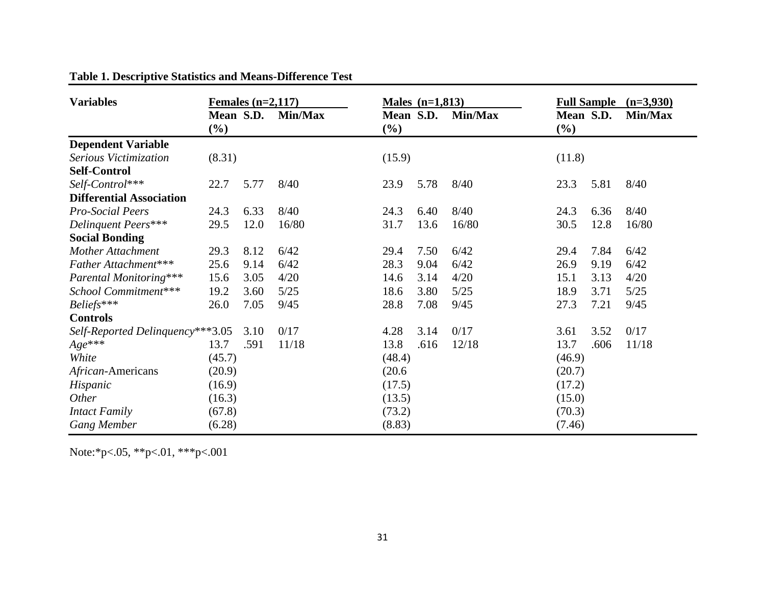| <b>Variables</b>                 | Females $(n=2,117)$ |      |         | Males $(n=1,813)$   |      | <b>Full Sample</b> $(n=3,930)$ |                     |      |         |
|----------------------------------|---------------------|------|---------|---------------------|------|--------------------------------|---------------------|------|---------|
|                                  | Mean S.D.<br>$(\%)$ |      | Min/Max | Mean S.D.<br>$(\%)$ |      | Min/Max                        | Mean S.D.<br>$(\%)$ |      | Min/Max |
| <b>Dependent Variable</b>        |                     |      |         |                     |      |                                |                     |      |         |
| Serious Victimization            | (8.31)              |      |         | (15.9)              |      |                                | (11.8)              |      |         |
| <b>Self-Control</b>              |                     |      |         |                     |      |                                |                     |      |         |
| Self-Control***                  | 22.7                | 5.77 | 8/40    | 23.9                | 5.78 | 8/40                           | 23.3                | 5.81 | 8/40    |
| <b>Differential Association</b>  |                     |      |         |                     |      |                                |                     |      |         |
| <b>Pro-Social Peers</b>          | 24.3                | 6.33 | 8/40    | 24.3                | 6.40 | 8/40                           | 24.3                | 6.36 | 8/40    |
| Delinquent Peers***              | 29.5                | 12.0 | 16/80   | 31.7                | 13.6 | 16/80                          | 30.5                | 12.8 | 16/80   |
| <b>Social Bonding</b>            |                     |      |         |                     |      |                                |                     |      |         |
| <b>Mother Attachment</b>         | 29.3                | 8.12 | 6/42    | 29.4                | 7.50 | 6/42                           | 29.4                | 7.84 | 6/42    |
| Father Attachment***             | 25.6                | 9.14 | 6/42    | 28.3                | 9.04 | 6/42                           | 26.9                | 9.19 | 6/42    |
| Parental Monitoring***           | 15.6                | 3.05 | 4/20    | 14.6                | 3.14 | 4/20                           | 15.1                | 3.13 | 4/20    |
| School Commitment***             | 19.2                | 3.60 | 5/25    | 18.6                | 3.80 | $5/25$                         | 18.9                | 3.71 | $5/25$  |
| Beliefs***                       | 26.0                | 7.05 | 9/45    | 28.8                | 7.08 | 9/45                           | 27.3                | 7.21 | 9/45    |
| <b>Controls</b>                  |                     |      |         |                     |      |                                |                     |      |         |
| Self-Reported Delinquency***3.05 |                     | 3.10 | 0/17    | 4.28                | 3.14 | 0/17                           | 3.61                | 3.52 | 0/17    |
| $Age{***}$                       | 13.7                | .591 | 11/18   | 13.8                | .616 | 12/18                          | 13.7                | .606 | 11/18   |
| White                            | (45.7)              |      |         | (48.4)              |      |                                | (46.9)              |      |         |
| African-Americans                | (20.9)              |      |         | (20.6)              |      |                                | (20.7)              |      |         |
| Hispanic                         | (16.9)              |      |         | (17.5)              |      |                                | (17.2)              |      |         |
| <i>Other</i>                     | (16.3)              |      |         | (13.5)              |      |                                | (15.0)              |      |         |
| <b>Intact Family</b>             | (67.8)              |      |         | (73.2)              |      |                                | (70.3)              |      |         |
| <b>Gang Member</b>               | (6.28)              |      |         | (8.83)              |      |                                | (7.46)              |      |         |

**Table 1. Descriptive Statistics and Means-Difference Test**

Note:\*p<.05, \*\*p<.01, \*\*\*p<.001